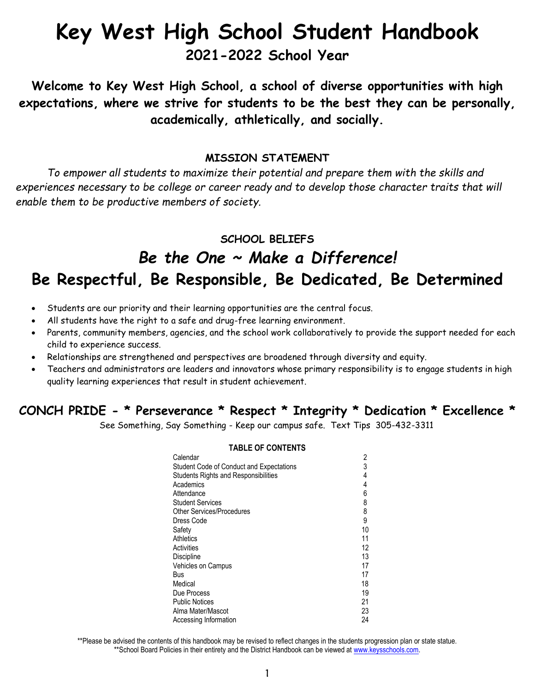# **Key West High School Student Handbook**

## **2021-2022 School Year**

**Welcome to Key West High School, a school of diverse opportunities with high expectations, where we strive for students to be the best they can be personally, academically, athletically, and socially.**

#### **MISSION STATEMENT**

*To empower all students to maximize their potential and prepare them with the skills and experiences necessary to be college or career ready and to develop those character traits that will enable them to be productive members of society.* 

**SCHOOL BELIEFS**

# *Be the One ~ Make a Difference!* **Be Respectful, Be Responsible, Be Dedicated, Be Determined**

- Students are our priority and their learning opportunities are the central focus.
- All students have the right to a safe and drug-free learning environment.
- Parents, community members, agencies, and the school work collaboratively to provide the support needed for each child to experience success.
- Relationships are strengthened and perspectives are broadened through diversity and equity.
- Teachers and administrators are leaders and innovators whose primary responsibility is to engage students in high quality learning experiences that result in student achievement.

### **CONCH PRIDE - \* Perseverance \* Respect \* Integrity \* Dedication \* Excellence \***

See Something, Say Something - Keep our campus safe. Text Tips 305-432-3311

#### **TABLE OF CONTENTS**

| Calendar                                    | 2  |
|---------------------------------------------|----|
| Student Code of Conduct and Expectations    | 3  |
| <b>Students Rights and Responsibilities</b> | 4  |
| Academics                                   | 4  |
| Attendance                                  | 6  |
| <b>Student Services</b>                     | 8  |
| Other Services/Procedures                   | 8  |
| Dress Code                                  | 9  |
| Safety                                      | 10 |
| Athletics                                   | 11 |
| Activities                                  | 12 |
| <b>Discipline</b>                           | 13 |
| <b>Vehicles on Campus</b>                   | 17 |
| Bus                                         | 17 |
| Medical                                     | 18 |
| Due Process                                 | 19 |
| <b>Public Notices</b>                       | 21 |
| Alma Mater/Mascot                           | 23 |
| Accessing Information                       | 24 |

\*\*Please be advised the contents of this handbook may be revised to reflect changes in the students progression plan or state statue. \*\*School Board Policies in their entirety and the District Handbook can be viewed at [www.keysschools.com.](http://www.keysschools.com/)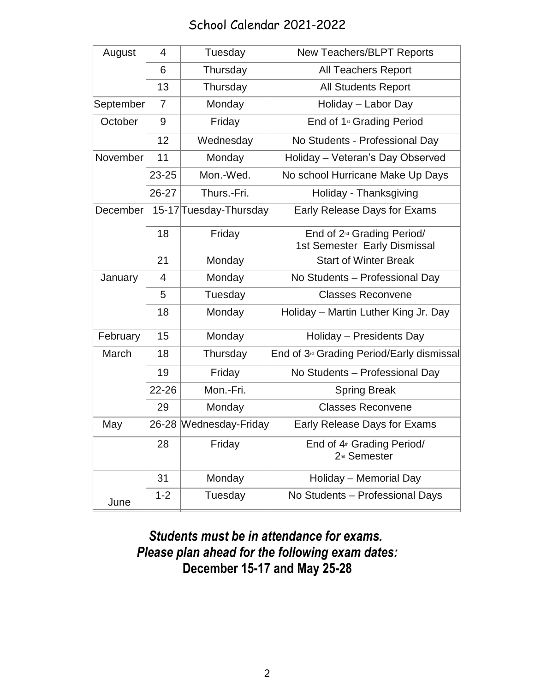### School Calendar 2021-2022

| August    | 4         | Tuesday                | <b>New Teachers/BLPT Reports</b>                                       |
|-----------|-----------|------------------------|------------------------------------------------------------------------|
|           | 6         | Thursday               | <b>All Teachers Report</b>                                             |
|           | 13        | Thursday               | <b>All Students Report</b>                                             |
| September | 7         | Monday                 | Holiday - Labor Day                                                    |
| October   | 9         | Friday                 | End of 1 <sup>st</sup> Grading Period                                  |
|           | 12        | Wednesday              | No Students - Professional Day                                         |
| November  | 11        | Monday                 | Holiday - Veteran's Day Observed                                       |
|           | $23 - 25$ | Mon.-Wed.              | No school Hurricane Make Up Days                                       |
|           | 26-27     | Thurs.-Fri.            | Holiday - Thanksgiving                                                 |
| December  |           | 15-17 Tuesday-Thursday | Early Release Days for Exams                                           |
|           | 18        | Friday                 | End of 2 <sup>nd</sup> Grading Period/<br>1st Semester Early Dismissal |
|           | 21        | Monday                 | <b>Start of Winter Break</b>                                           |
| January   | 4         | Monday                 | No Students - Professional Day                                         |
|           | 5         | Tuesday                | <b>Classes Reconvene</b>                                               |
|           | 18        | Monday                 | Holiday – Martin Luther King Jr. Day                                   |
| February  | 15        | Monday                 | Holiday - Presidents Day                                               |
| March     | 18        | Thursday               | End of 3 <sup>®</sup> Grading Period/Early dismissal                   |
|           | 19        | Friday                 | No Students - Professional Day                                         |
|           | $22 - 26$ | Mon.-Fri.              | <b>Spring Break</b>                                                    |
|           | 29        | Monday                 | <b>Classes Reconvene</b>                                               |
| May       |           | 26-28 Wednesday-Friday | Early Release Days for Exams                                           |
|           | 28        | Friday                 | End of 4 <sup>th</sup> Grading Period/<br>2 <sup>nd</sup> Semester     |
|           | 31        | Monday                 | Holiday - Memorial Day                                                 |
| June      | $1 - 2$   | Tuesday                | No Students - Professional Days                                        |

# *Students must be in attendance for exams. Please plan ahead for the following exam dates:* **December 15-17 and May 25-28**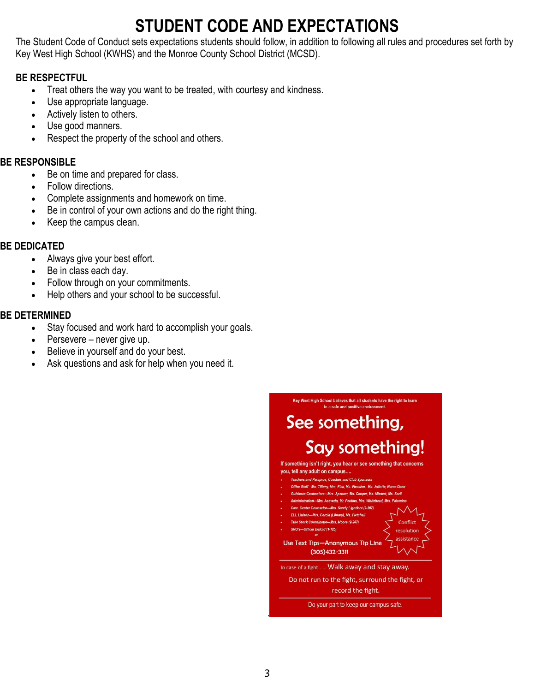# **STUDENT CODE AND EXPECTATIONS**

The Student Code of Conduct sets expectations students should follow, in addition to following all rules and procedures set forth by Key West High School (KWHS) and the Monroe County School District (MCSD).

#### **BE RESPECTFUL**

- Treat others the way you want to be treated, with courtesy and kindness.
- Use appropriate language.
- Actively listen to others.
- Use good manners.
- Respect the property of the school and others.

#### **BE RESPONSIBLE**

- Be on time and prepared for class.
- Follow directions.
- Complete assignments and homework on time.
- Be in control of your own actions and do the right thing.
- Keep the campus clean.

#### **BE DEDICATED**

- Always give your best effort.
- Be in class each day.
- Follow through on your commitments.
- Help others and your school to be successful.

#### **BE DETERMINED**

- Stay focused and work hard to accomplish your goals.
- Persevere never give up.
- Believe in yourself and do your best.
- Ask questions and ask for help when you need it.

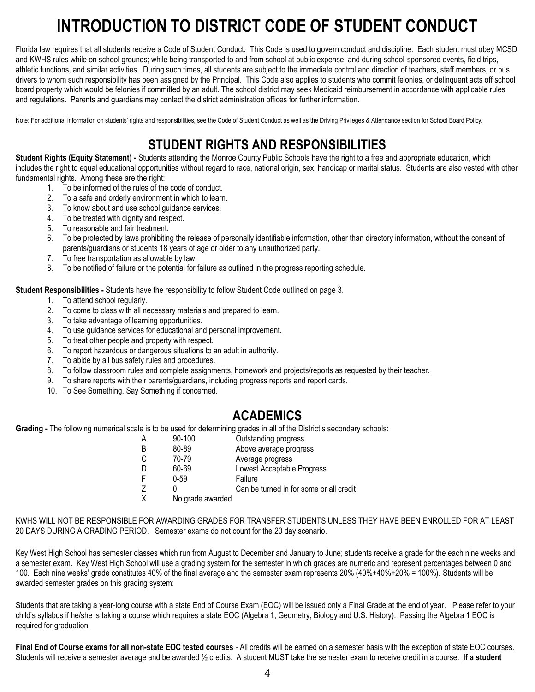# **INTRODUCTION TO DISTRICT CODE OF STUDENT CONDUCT**

Florida law requires that all students receive a Code of Student Conduct. This Code is used to govern conduct and discipline. Each student must obey MCSD and KWHS rules while on school grounds; while being transported to and from school at public expense; and during school-sponsored events, field trips, athletic functions, and similar activities. During such times, all students are subject to the immediate control and direction of teachers, staff members, or bus drivers to whom such responsibility has been assigned by the Principal. This Code also applies to students who commit felonies, or delinquent acts off school board property which would be felonies if committed by an adult. The school district may seek Medicaid reimbursement in accordance with applicable rules and regulations. Parents and guardians may contact the district administration offices for further information.

Note: For additional information on students' rights and responsibilities, see the Code of Student Conduct as well as the Driving Privileges & Attendance section for School Board Policy.

### **STUDENT RIGHTS AND RESPONSIBILITIES**

**Student Rights (Equity Statement) -** Students attending the Monroe County Public Schools have the right to a free and appropriate education, which includes the right to equal educational opportunities without regard to race, national origin, sex, handicap or marital status. Students are also vested with other fundamental rights. Among these are the right:

- 1. To be informed of the rules of the code of conduct.
- 2. To a safe and orderly environment in which to learn.
- 3. To know about and use school guidance services.
- 4. To be treated with dignity and respect.
- 5. To reasonable and fair treatment.
- 6. To be protected by laws prohibiting the release of personally identifiable information, other than directory information, without the consent of parents/guardians or students 18 years of age or older to any unauthorized party.
- 7. To free transportation as allowable by law.
- 8. To be notified of failure or the potential for failure as outlined in the progress reporting schedule.

**Student Responsibilities -** Students have the responsibility to follow Student Code outlined on page 3.

- 1. To attend school regularly.
- 2. To come to class with all necessary materials and prepared to learn.
- 3. To take advantage of learning opportunities.
- 4. To use guidance services for educational and personal improvement.
- 5. To treat other people and property with respect.
- 6. To report hazardous or dangerous situations to an adult in authority.
- 7. To abide by all bus safety rules and procedures.
- 8. To follow classroom rules and complete assignments, homework and projects/reports as requested by their teacher.
- 9. To share reports with their parents/guardians, including progress reports and report cards.
- 10. To See Something, Say Something if concerned.

### **ACADEMICS**

**Grading -** The following numerical scale is to be used for determining grades in all of the District's secondary schools:

| A | 90-100           | Outstanding progress                    |
|---|------------------|-----------------------------------------|
| B | 80-89            | Above average progress                  |
| C | 70-79            | Average progress                        |
| D | 60-69            | Lowest Acceptable Progress              |
| F | $0 - 59$         | Failure                                 |
| Z |                  | Can be turned in for some or all credit |
| X | No grade awarded |                                         |

KWHS WILL NOT BE RESPONSIBLE FOR AWARDING GRADES FOR TRANSFER STUDENTS UNLESS THEY HAVE BEEN ENROLLED FOR AT LEAST 20 DAYS DURING A GRADING PERIOD. Semester exams do not count for the 20 day scenario.

Key West High School has semester classes which run from August to December and January to June; students receive a grade for the each nine weeks and a semester exam. Key West High School will use a grading system for the semester in which grades are numeric and represent percentages between 0 and 100. Each nine weeks' grade constitutes 40% of the final average and the semester exam represents 20% (40%+40%+20% = 100%). Students will be awarded semester grades on this grading system:

Students that are taking a year-long course with a state End of Course Exam (EOC) will be issued only a Final Grade at the end of year. Please refer to your child's syllabus if he/she is taking a course which requires a state EOC (Algebra 1, Geometry, Biology and U.S. History). Passing the Algebra 1 EOC is required for graduation.

**Final End of Course exams for all non-state EOC tested courses** - All credits will be earned on a semester basis with the exception of state EOC courses. Students will receive a semester average and be awarded ½ credits. A student MUST take the semester exam to receive credit in a course. **If a student**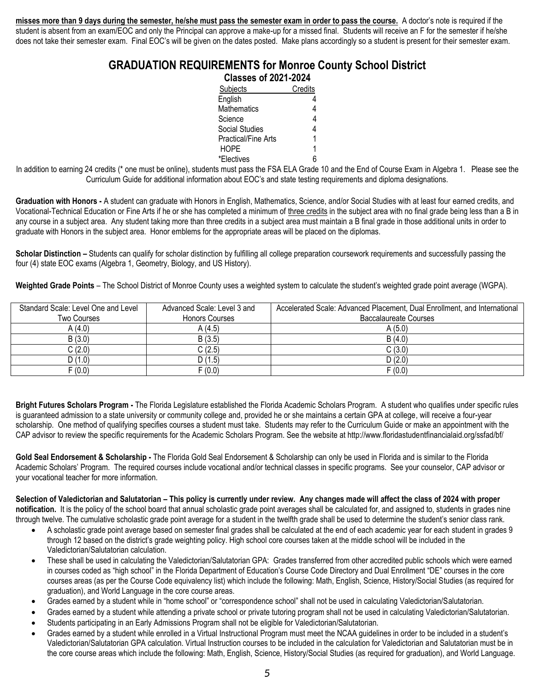**misses more than 9 days during the semester, he/she must pass the semester exam in order to pass the course.** A doctor's note is required if the student is absent from an exam/EOC and only the Principal can approve a make-up for a missed final. Students will receive an F for the semester if he/she does not take their semester exam. Final EOC's will be given on the dates posted. Make plans accordingly so a student is present for their semester exam.

#### **GRADUATION REQUIREMENTS for Monroe County School District Classes of 2021-2024**

|                            | <b>Classes of 2021-2024</b> |  |
|----------------------------|-----------------------------|--|
| Subjects                   | Credits                     |  |
| English                    |                             |  |
| <b>Mathematics</b>         |                             |  |
| Science                    |                             |  |
| Social Studies             |                             |  |
| <b>Practical/Fine Arts</b> |                             |  |
| <b>HOPE</b>                |                             |  |
| *Electives                 |                             |  |

In addition to earning 24 credits (\* one must be online), students must pass the FSA ELA Grade 10 and the End of Course Exam in Algebra 1. Please see the Curriculum Guide for additional information about EOC's and state testing requirements and diploma designations.

Graduation with Honors - A student can graduate with Honors in English, Mathematics, Science, and/or Social Studies with at least four earned credits, and Vocational-Technical Education or Fine Arts if he or she has completed a minimum of three credits in the subject area with no final grade being less than a B in any course in a subject area. Any student taking more than three credits in a subject area must maintain a B final grade in those additional units in order to graduate with Honors in the subject area. Honor emblems for the appropriate areas will be placed on the diplomas.

**Scholar Distinction –** Students can qualify for scholar distinction by fulfilling all college preparation coursework requirements and successfully passing the four (4) state EOC exams (Algebra 1, Geometry, Biology, and US History).

**Weighted Grade Points** – The School District of Monroe County uses a weighted system to calculate the student's weighted grade point average (WGPA).

| Standard Scale: Level One and Level | Advanced Scale: Level 3 and | Accelerated Scale: Advanced Placement, Dual Enrollment, and International |
|-------------------------------------|-----------------------------|---------------------------------------------------------------------------|
| Two Courses                         | <b>Honors Courses</b>       | Baccalaureate Courses                                                     |
| A(4.0)                              | A (4.5)                     | A(5.0)                                                                    |
| B(3.0)                              | B(3.5)                      | B(4.0)                                                                    |
| C(2.0)                              | C (2.5)                     | C(3.0)                                                                    |
| D(1.0)                              | D(1.5)                      | D(2.0)                                                                    |
| F(0.0)                              | F(0.0)                      | F(0.0)                                                                    |

**Bright Futures Scholars Program -** The Florida Legislature established the Florida Academic Scholars Program. A student who qualifies under specific rules is guaranteed admission to a state university or community college and, provided he or she maintains a certain GPA at college, will receive a four-year scholarship. One method of qualifying specifies courses a student must take. Students may refer to the Curriculum Guide or make an appointment with the CAP advisor to review the specific requirements for the Academic Scholars Program. See the website at http://www.floridastudentfinancialaid.org/ssfad/bf/

Gold Seal Endorsement & Scholarship - The Florida Gold Seal Endorsement & Scholarship can only be used in Florida and is similar to the Florida Academic Scholars' Program. The required courses include vocational and/or technical classes in specific programs. See your counselor, CAP advisor or your vocational teacher for more information.

**Selection of Valedictorian and Salutatorian – This policy is currently under review. Any changes made will affect the class of 2024 with proper notification.** It is the policy of the school board that annual scholastic grade point averages shall be calculated for, and assigned to, students in grades nine through twelve. The cumulative scholastic grade point average for a student in the twelfth grade shall be used to determine the student's senior class rank.

- A scholastic grade point average based on semester final grades shall be calculated at the end of each academic year for each student in grades 9 through 12 based on the district's grade weighting policy. High school core courses taken at the middle school will be included in the Valedictorian/Salutatorian calculation.
- These shall be used in calculating the Valedictorian/Salutatorian GPA: Grades transferred from other accredited public schools which were earned in courses coded as "high school" in the Florida Department of Education's Course Code Directory and Dual Enrollment "DE" courses in the core courses areas (as per the Course Code equivalency list) which include the following: Math, English, Science, History/Social Studies (as required for graduation), and World Language in the core course areas.
- Grades earned by a student while in "home school" or "correspondence school" shall not be used in calculating Valedictorian/Salutatorian.
- Grades earned by a student while attending a private school or private tutoring program shall not be used in calculating Valedictorian/Salutatorian.
- Students participating in an Early Admissions Program shall not be eligible for Valedictorian/Salutatorian.
- Grades earned by a student while enrolled in a Virtual Instructional Program must meet the NCAA guidelines in order to be included in a student's Valedictorian/Salutatorian GPA calculation. Virtual Instruction courses to be included in the calculation for Valedictorian and Salutatorian must be in the core course areas which include the following: Math, English, Science, History/Social Studies (as required for graduation), and World Language.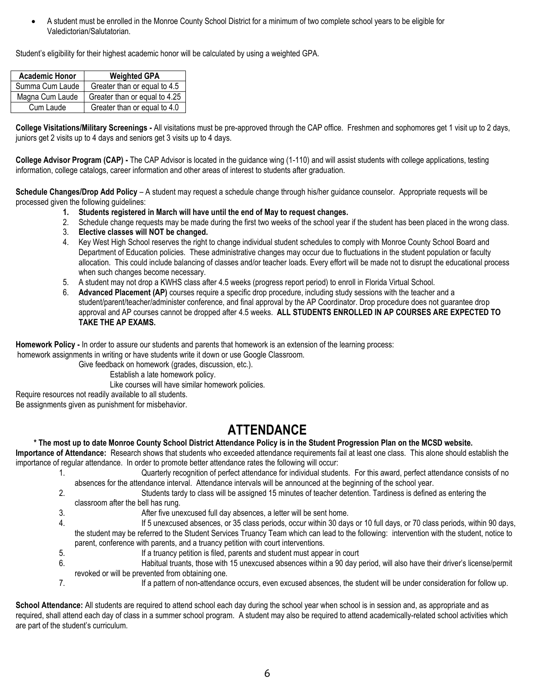A student must be enrolled in the Monroe County School District for a minimum of two complete school years to be eligible for Valedictorian/Salutatorian.

Student's eligibility for their highest academic honor will be calculated by using a weighted GPA.

| <b>Academic Honor</b> | <b>Weighted GPA</b>           |
|-----------------------|-------------------------------|
| Summa Cum Laude       | Greater than or equal to 4.5  |
| Magna Cum Laude       | Greater than or equal to 4.25 |
| Cum Laude             | Greater than or equal to 4.0  |

**College Visitations/Military Screenings -** All visitations must be pre-approved through the CAP office. Freshmen and sophomores get 1 visit up to 2 days, juniors get 2 visits up to 4 days and seniors get 3 visits up to 4 days.

**College Advisor Program (CAP) -** The CAP Advisor is located in the guidance wing (1-110) and will assist students with college applications, testing information, college catalogs, career information and other areas of interest to students after graduation.

**Schedule Changes/Drop Add Policy** – A student may request a schedule change through his/her guidance counselor. Appropriate requests will be processed given the following guidelines:

- **1. Students registered in March will have until the end of May to request changes.**
- 2. Schedule change requests may be made during the first two weeks of the school year if the student has been placed in the wrong class.
- 3. **Elective classes will NOT be changed.**
- 4. Key West High School reserves the right to change individual student schedules to comply with Monroe County School Board and Department of Education policies. These administrative changes may occur due to fluctuations in the student population or faculty allocation. This could include balancing of classes and/or teacher loads. Every effort will be made not to disrupt the educational process when such changes become necessary.
- 5. A student may not drop a KWHS class after 4.5 weeks (progress report period) to enroll in Florida Virtual School.
- 6. **Advanced Placement (AP)** courses require a specific drop procedure, including study sessions with the teacher and a student/parent/teacher/administer conference, and final approval by the AP Coordinator. Drop procedure does not guarantee drop approval and AP courses cannot be dropped after 4.5 weeks. **ALL STUDENTS ENROLLED IN AP COURSES ARE EXPECTED TO TAKE THE AP EXAMS.**

**Homework Policy -** In order to assure our students and parents that homework is an extension of the learning process: homework assignments in writing or have students write it down or use Google Classroom.

Give feedback on homework (grades, discussion, etc.).

Establish a late homework policy.

Like courses will have similar homework policies.

Require resources not readily available to all students.

Be assignments given as punishment for misbehavior.

### **ATTENDANCE**

#### **\* The most up to date Monroe County School District Attendance Policy is in the Student Progression Plan on the MCSD website.**

**Importance of Attendance:** Research shows that students who exceeded attendance requirements fail at least one class. This alone should establish the importance of regular attendance. In order to promote better attendance rates the following will occur:

- 1. Quarterly recognition of perfect attendance for individual students. For this award, perfect attendance consists of no absences for the attendance interval. Attendance intervals will be announced at the beginning of the school year.
- 2. Students tardy to class will be assigned 15 minutes of teacher detention. Tardiness is defined as entering the classroom after the bell has rung.
- 3. After five unexcused full day absences, a letter will be sent home.
- 4. If 5 unexcused absences, or 35 class periods, occur within 30 days or 10 full days, or 70 class periods, within 90 days, the student may be referred to the Student Services Truancy Team which can lead to the following: intervention with the student, notice to parent, conference with parents, and a truancy petition with court interventions.
- 5. If a truancy petition is filed, parents and student must appear in court
- 6. Habitual truants, those with 15 unexcused absences within a 90 day period, will also have their driver's license/permit revoked or will be prevented from obtaining one.
- 7. If a pattern of non-attendance occurs, even excused absences, the student will be under consideration for follow up.

School Attendance: All students are required to attend school each day during the school year when school is in session and, as appropriate and as required, shall attend each day of class in a summer school program. A student may also be required to attend academically-related school activities which are part of the student's curriculum.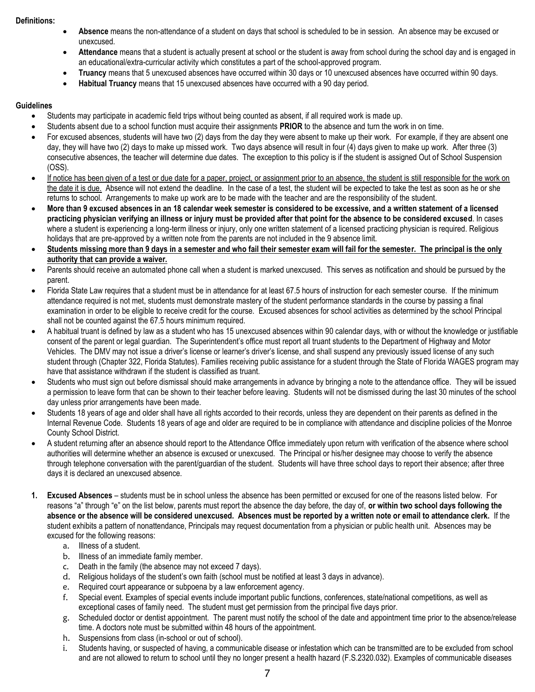#### **Definitions:**

- **Absence** means the non-attendance of a student on days that school is scheduled to be in session. An absence may be excused or unexcused.
- **Attendance** means that a student is actually present at school or the student is away from school during the school day and is engaged in an educational/extra-curricular activity which constitutes a part of the school-approved program.
- **Truancy** means that 5 unexcused absences have occurred within 30 days or 10 unexcused absences have occurred within 90 days.
- **Habitual Truancy** means that 15 unexcused absences have occurred with a 90 day period.

#### **Guidelines**

- Students may participate in academic field trips without being counted as absent, if all required work is made up.
- Students absent due to a school function must acquire their assignments **PRIOR** to the absence and turn the work in on time.
- For excused absences, students will have two (2) days from the day they were absent to make up their work. For example, if they are absent one day, they will have two (2) days to make up missed work. Two days absence will result in four (4) days given to make up work. After three (3) consecutive absences, the teacher will determine due dates. The exception to this policy is if the student is assigned Out of School Suspension (OSS).
- If notice has been given of a test or due date for a paper, project, or assignment prior to an absence, the student is still responsible for the work on the date it is due. Absence will not extend the deadline. In the case of a test, the student will be expected to take the test as soon as he or she returns to school. Arrangements to make up work are to be made with the teacher and are the responsibility of the student.
- **More than 9 excused absences in an 18 calendar week semester is considered to be excessive, and a written statement of a licensed practicing physician verifying an illness or injury must be provided after that point for the absence to be considered excused**. In cases where a student is experiencing a long-term illness or injury, only one written statement of a licensed practicing physician is required. Religious holidays that are pre-approved by a written note from the parents are not included in the 9 absence limit.
- **Students missing more than 9 days in a semester and who fail their semester exam will fail for the semester. The principal is the only authority that can provide a waiver.**
- Parents should receive an automated phone call when a student is marked unexcused. This serves as notification and should be pursued by the parent.
- Florida State Law requires that a student must be in attendance for at least 67.5 hours of instruction for each semester course. If the minimum attendance required is not met, students must demonstrate mastery of the student performance standards in the course by passing a final examination in order to be eligible to receive credit for the course. Excused absences for school activities as determined by the school Principal shall not be counted against the 67.5 hours minimum required.
- A habitual truant is defined by law as a student who has 15 unexcused absences within 90 calendar days, with or without the knowledge or justifiable consent of the parent or legal guardian. The Superintendent's office must report all truant students to the Department of Highway and Motor Vehicles. The DMV may not issue a driver's license or learner's driver's license, and shall suspend any previously issued license of any such student through (Chapter 322, Florida Statutes). Families receiving public assistance for a student through the State of Florida WAGES program may have that assistance withdrawn if the student is classified as truant.
- Students who must sign out before dismissal should make arrangements in advance by bringing a note to the attendance office. They will be issued a permission to leave form that can be shown to their teacher before leaving. Students will not be dismissed during the last 30 minutes of the school day unless prior arrangements have been made.
- Students 18 years of age and older shall have all rights accorded to their records, unless they are dependent on their parents as defined in the Internal Revenue Code. Students 18 years of age and older are required to be in compliance with attendance and discipline policies of the Monroe County School District.
- A student returning after an absence should report to the Attendance Office immediately upon return with verification of the absence where school authorities will determine whether an absence is excused or unexcused. The Principal or his/her designee may choose to verify the absence through telephone conversation with the parent/guardian of the student. Students will have three school days to report their absence; after three days it is declared an unexcused absence.
- **1. Excused Absences** students must be in school unless the absence has been permitted or excused for one of the reasons listed below. For reasons "a" through "e" on the list below, parents must report the absence the day before, the day of, **or within two school days following the absence or the absence will be considered unexcused. Absences must be reported by a written note or email to attendance clerk.** If the student exhibits a pattern of nonattendance, Principals may request documentation from a physician or public health unit. Absences may be excused for the following reasons:
	- a. Illness of a student.
	- b. Illness of an immediate family member.
	- c. Death in the family (the absence may not exceed 7 days).
	- d. Religious holidays of the student's own faith (school must be notified at least 3 days in advance).
	- e. Required court appearance or subpoena by a law enforcement agency.
	- f. Special event. Examples of special events include important public functions, conferences, state/national competitions, as well as exceptional cases of family need. The student must get permission from the principal five days prior.
	- g. Scheduled doctor or dentist appointment. The parent must notify the school of the date and appointment time prior to the absence/release time. A doctors note must be submitted within 48 hours of the appointment.
	- h. Suspensions from class (in-school or out of school).
	- i. Students having, or suspected of having, a communicable disease or infestation which can be transmitted are to be excluded from school and are not allowed to return to school until they no longer present a health hazard (F.S.2320.032). Examples of communicable diseases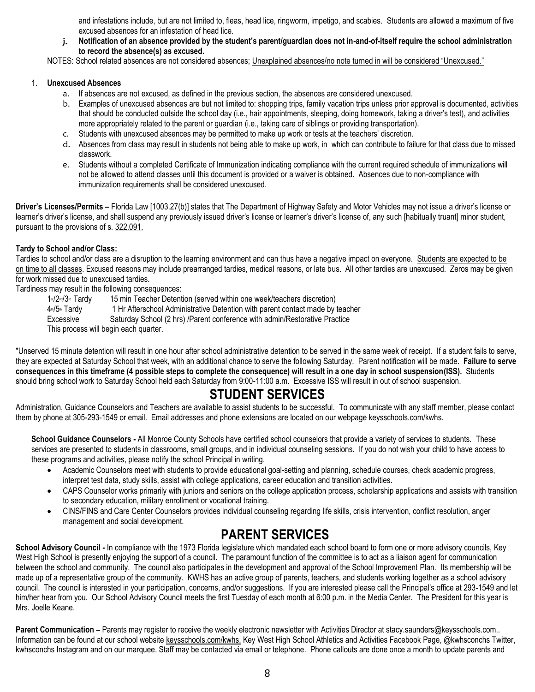and infestations include, but are not limited to, fleas, head lice, ringworm, impetigo, and scabies. Students are allowed a maximum of five excused absences for an infestation of head lice.

j. **Notification of an absence provided by the student's parent/guardian does not in-and-of-itself require the school administration to record the absence(s) as excused.** 

NOTES: School related absences are not considered absences; Unexplained absences/no note turned in will be considered "Unexcused."

#### 1. **Unexcused Absences**

- a. If absences are not excused, as defined in the previous section, the absences are considered unexcused.
- b. Examples of unexcused absences are but not limited to: shopping trips, family vacation trips unless prior approval is documented, activities that should be conducted outside the school day (i.e., hair appointments, sleeping, doing homework, taking a driver's test), and activities more appropriately related to the parent or guardian (i.e., taking care of siblings or providing transportation).
- c. Students with unexcused absences may be permitted to make up work or tests at the teachers' discretion.
- d. Absences from class may result in students not being able to make up work, in which can contribute to failure for that class due to missed classwork.
- e. Students without a completed Certificate of Immunization indicating compliance with the current required schedule of immunizations will not be allowed to attend classes until this document is provided or a waiver is obtained. Absences due to non-compliance with immunization requirements shall be considered unexcused.

**Driver's Licenses/Permits –** Florida Law [1003.27(b)] states that The Department of Highway Safety and Motor Vehicles may not issue a driver's license or learner's driver's license, and shall suspend any previously issued driver's license or learner's driver's license of, any such [habitually truant] minor student, pursuant to the provisions of s. 322.091.

#### **Tardy to School and/or Class:**

Tardies to school and/or class are a disruption to the learning environment and can thus have a negative impact on everyone. Students are expected to be on time to all classes. Excused reasons may include prearranged tardies, medical reasons, or late bus. All other tardies are unexcused. Zeros may be given for work missed due to unexcused tardies.

Tardiness may result in the following consequences:

 $1\sqrt{2}$ <sup>d</sup>/ $3\sqrt{3}$ <sup>d</sup> Tardy 15 min Teacher Detention (served within one week/teachers discretion) 4th/5th Tardy 1 Hr Afterschool Administrative Detention with parent contact made by teacher Excessive Saturday School (2 hrs) /Parent conference with admin/Restorative Practice This process will begin each quarter.

\*Unserved 15 minute detention will result in one hour after school administrative detention to be served in the same week of receipt. If a student fails to serve, they are expected at Saturday School that week, with an additional chance to serve the following Saturday. Parent notification will be made. **Failure to serve consequences in this timeframe (4 possible steps to complete the consequence) will result in a one day in school suspension(ISS).** Students should bring school work to Saturday School held each Saturday from 9:00-11:00 a.m. Excessive ISS will result in out of school suspension.

### **STUDENT SERVICES**

Administration, Guidance Counselors and Teachers are available to assist students to be successful. To communicate with any staff member, please contact them by phone at 305-293-1549 or email. Email addresses and phone extensions are located on our webpage keysschools.com/kwhs.

**School Guidance Counselors -** All Monroe County Schools have certified school counselors that provide a variety of services to students. These services are presented to students in classrooms, small groups, and in individual counseling sessions. If you do not wish your child to have access to these programs and activities, please notify the school Principal in writing.

- Academic Counselors meet with students to provide educational goal-setting and planning, schedule courses, check academic progress, interpret test data, study skills, assist with college applications, career education and transition activities.
- CAPS Counselor works primarily with juniors and seniors on the college application process, scholarship applications and assists with transition to secondary education, military enrollment or vocational training.
- CINS/FINS and Care Center Counselors provides individual counseling regarding life skills, crisis intervention, conflict resolution, anger management and social development.

### **PARENT SERVICES**

School Advisory Council - In compliance with the 1973 Florida legislature which mandated each school board to form one or more advisory councils, Key West High School is presently enjoying the support of a council. The paramount function of the committee is to act as a liaison agent for communication between the school and community. The council also participates in the development and approval of the School Improvement Plan. Its membership will be made up of a representative group of the community. KWHS has an active group of parents, teachers, and students working together as a school advisory council. The council is interested in your participation, concerns, and/or suggestions. If you are interested please call the Principal's office at 293-1549 and let him/her hear from you. Our School Advisory Council meets the first Tuesday of each month at 6:00 p.m. in the Media Center. The President for this year is Mrs. Joelle Keane.

Parent Communication – Parents may register to receive the weekly electronic newsletter with Activities Director at stacy.saunders@keysschools.com.. Information can be found at our school website keysschools.com/kwhs, Key West High School Athletics and Activities Facebook Page, @kwhsconchs Twitter, kwhsconchs Instagram and on our marquee. Staff may be contacted via email or telephone. Phone callouts are done once a month to update parents and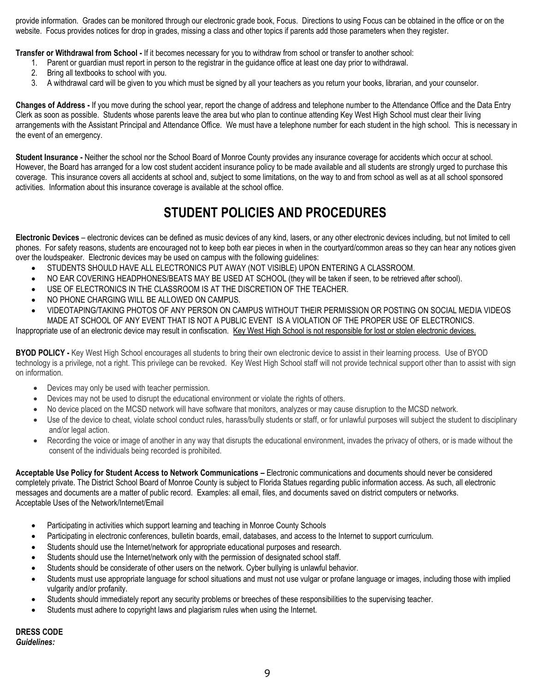provide information. Grades can be monitored through our electronic grade book, Focus. Directions to using Focus can be obtained in the office or on the website. Focus provides notices for drop in grades, missing a class and other topics if parents add those parameters when they register.

**Transfer or Withdrawal from School -** If it becomes necessary for you to withdraw from school or transfer to another school:

- 1. Parent or guardian must report in person to the registrar in the guidance office at least one day prior to withdrawal.
- 2. Bring all textbooks to school with you.
- 3. A withdrawal card will be given to you which must be signed by all your teachers as you return your books, librarian, and your counselor.

**Changes of Address -** If you move during the school year, report the change of address and telephone number to the Attendance Office and the Data Entry Clerk as soon as possible. Students whose parents leave the area but who plan to continue attending Key West High School must clear their living arrangements with the Assistant Principal and Attendance Office. We must have a telephone number for each student in the high school. This is necessary in the event of an emergency.

**Student Insurance -** Neither the school nor the School Board of Monroe County provides any insurance coverage for accidents which occur at school. However, the Board has arranged for a low cost student accident insurance policy to be made available and all students are strongly urged to purchase this coverage. This insurance covers all accidents at school and, subject to some limitations, on the way to and from school as well as at all school sponsored activities. Information about this insurance coverage is available at the school office.

## **STUDENT POLICIES AND PROCEDURES**

**Electronic Devices** – electronic devices can be defined as music devices of any kind, lasers, or any other electronic devices including, but not limited to cell phones. For safety reasons, students are encouraged not to keep both ear pieces in when in the courtyard/common areas so they can hear any notices given over the loudspeaker. Electronic devices may be used on campus with the following guidelines:

- **STUDENTS SHOULD HAVE ALL ELECTRONICS PUT AWAY (NOT VISIBLE) UPON ENTERING A CLASSROOM.**
- NO EAR COVERING HEADPHONES/BEATS MAY BE USED AT SCHOOL (they will be taken if seen, to be retrieved after school).
- USE OF ELECTRONICS IN THE CLASSROOM IS AT THE DISCRETION OF THE TEACHER.
- NO PHONE CHARGING WILL BE ALLOWED ON CAMPUS.
- VIDEOTAPING/TAKING PHOTOS OF ANY PERSON ON CAMPUS WITHOUT THEIR PERMISSION OR POSTING ON SOCIAL MEDIA VIDEOS MADE AT SCHOOL OF ANY EVENT THAT IS NOT A PUBLIC EVENT IS A VIOLATION OF THE PROPER USE OF ELECTRONICS.

Inappropriate use of an electronic device may result in confiscation. Key West High School is not responsible for lost or stolen electronic devices.

**BYOD POLICY -** Key West High School encourages all students to bring their own electronic device to assist in their learning process. Use of BYOD technology is a privilege, not a right. This privilege can be revoked. Key West High School staff will not provide technical support other than to assist with sign on information.

- Devices may only be used with teacher permission.
- Devices may not be used to disrupt the educational environment or violate the rights of others.
- No device placed on the MCSD network will have software that monitors, analyzes or may cause disruption to the MCSD network.
- Use of the device to cheat, violate school conduct rules, harass/bully students or staff, or for unlawful purposes will subject the student to disciplinary and/or legal action.
- Recording the voice or image of another in any way that disrupts the educational environment, invades the privacy of others, or is made without the consent of the individuals being recorded is prohibited.

**Acceptable Use Policy for Student Access to Network Communications –** Electronic communications and documents should never be considered completely private. The District School Board of Monroe County is subject to Florida Statues regarding public information access. As such, all electronic messages and documents are a matter of public record. Examples: all email, files, and documents saved on district computers or networks. Acceptable Uses of the Network/Internet/Email

- Participating in activities which support learning and teaching in Monroe County Schools
- Participating in electronic conferences, bulletin boards, email, databases, and access to the Internet to support curriculum.
- Students should use the Internet/network for appropriate educational purposes and research.
- Students should use the Internet/network only with the permission of designated school staff.
- Students should be considerate of other users on the network. Cyber bullying is unlawful behavior.
- Students must use appropriate language for school situations and must not use vulgar or profane language or images, including those with implied vulgarity and/or profanity.
- Students should immediately report any security problems or breeches of these responsibilities to the supervising teacher.
- Students must adhere to copyright laws and plagiarism rules when using the Internet.

**DRESS CODE** *Guidelines:*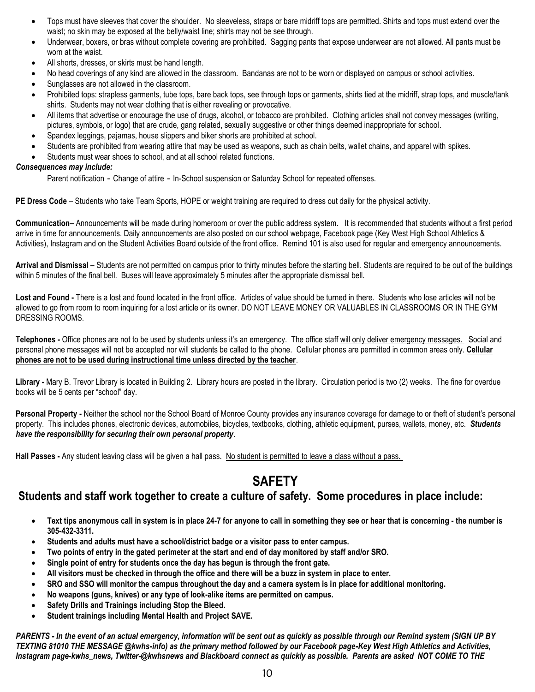- Tops must have sleeves that cover the shoulder. No sleeveless, straps or bare midriff tops are permitted. Shirts and tops must extend over the waist; no skin may be exposed at the belly/waist line; shirts may not be see through.
- Underwear, boxers, or bras without complete covering are prohibited. Sagging pants that expose underwear are not allowed. All pants must be worn at the waist.
- All shorts, dresses, or skirts must be hand length.
- No head coverings of any kind are allowed in the classroom. Bandanas are not to be worn or displayed on campus or school activities.
- Sunglasses are not allowed in the classroom.
- Prohibited tops: strapless garments, tube tops, bare back tops, see through tops or garments, shirts tied at the midriff, strap tops, and muscle/tank shirts. Students may not wear clothing that is either revealing or provocative.
- All items that advertise or encourage the use of drugs, alcohol, or tobacco are prohibited. Clothing articles shall not convey messages (writing, pictures, symbols, or logo) that are crude, gang related, sexually suggestive or other things deemed inappropriate for school.
- Spandex leggings, pajamas, house slippers and biker shorts are prohibited at school.
- Students are prohibited from wearing attire that may be used as weapons, such as chain belts, wallet chains, and apparel with spikes.
- Students must wear shoes to school, and at all school related functions.

#### *Consequences may include:*

Parent notification - Change of attire - In-School suspension or Saturday School for repeated offenses.

**PE Dress Code** – Students who take Team Sports, HOPE or weight training are required to dress out daily for the physical activity.

**Communication–** Announcements will be made during homeroom or over the public address system. It is recommended that students without a first period arrive in time for announcements. Daily announcements are also posted on our school webpage, Facebook page (Key West High School Athletics & Activities), Instagram and on the Student Activities Board outside of the front office. Remind 101 is also used for regular and emergency announcements.

**Arrival and Dismissal –** Students are not permitted on campus prior to thirty minutes before the starting bell. Students are required to be out of the buildings within 5 minutes of the final bell. Buses will leave approximately 5 minutes after the appropriate dismissal bell.

**Lost and Found -** There is a lost and found located in the front office. Articles of value should be turned in there. Students who lose articles will not be allowed to go from room to room inquiring for a lost article or its owner. DO NOT LEAVE MONEY OR VALUABLES IN CLASSROOMS OR IN THE GYM DRESSING ROOMS.

**Telephones -** Office phones are not to be used by students unless it's an emergency. The office staff will only deliver emergency messages. Social and personal phone messages will not be accepted nor will students be called to the phone. Cellular phones are permitted in common areas only. **Cellular phones are not to be used during instructional time unless directed by the teacher**.

**Library -** Mary B. Trevor Library is located in Building 2. Library hours are posted in the library. Circulation period is two (2) weeks. The fine for overdue books will be 5 cents per "school" day.

**Personal Property -** Neither the school nor the School Board of Monroe County provides any insurance coverage for damage to or theft of student's personal property. This includes phones, electronic devices, automobiles, bicycles, textbooks, clothing, athletic equipment, purses, wallets, money, etc. *Students have the responsibility for securing their own personal property*.

**Hall Passes -** Any student leaving class will be given a hall pass. No student is permitted to leave a class without a pass.

### **SAFETY**

### **Students and staff work together to create a culture of safety. Some procedures in place include:**

- **Text tips anonymous call in system is in place 24-7 for anyone to call in something they see or hear that is concerning - the number is 305-432-3311.**
- **Students and adults must have a school/district badge or a visitor pass to enter campus.**
- **Two points of entry in the gated perimeter at the start and end of day monitored by staff and/or SRO.**
- **Single point of entry for students once the day has begun is through the front gate.**
- **All visitors must be checked in through the office and there will be a buzz in system in place to enter.**
- **SRO and SSO will monitor the campus throughout the day and a camera system is in place for additional monitoring.**
- **No weapons (guns, knives) or any type of look-alike items are permitted on campus.**
- **Safety Drills and Trainings including Stop the Bleed.**
- **Student trainings including Mental Health and Project SAVE.**

*PARENTS - In the event of an actual emergency, information will be sent out as quickly as possible through our Remind system (SIGN UP BY TEXTING 81010 THE MESSAGE @kwhs-info) as the primary method followed by our Facebook page-Key West High Athletics and Activities, Instagram page-kwhs\_news, Twitter-@kwhsnews and Blackboard connect as quickly as possible. Parents are asked NOT COME TO THE*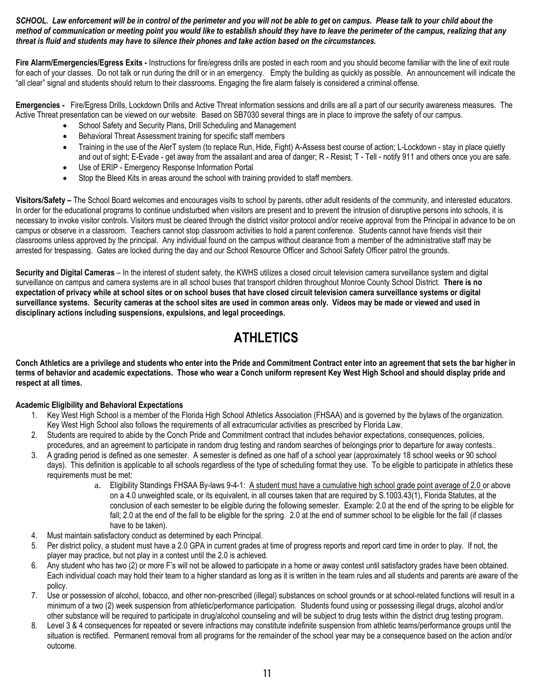#### *SCHOOL. Law enforcement will be in control of the perimeter and you will not be able to get on campus. Please talk to your child about the method of communication or meeting point you would like to establish should they have to leave the perimeter of the campus, realizing that any threat is fluid and students may have to silence their phones and take action based on the circumstances.*

**Fire Alarm/Emergencies/Egress Exits -** Instructions for fire/egress drills are posted in each room and you should become familiar with the line of exit route for each of your classes. Do not talk or run during the drill or in an emergency. Empty the building as quickly as possible. An announcement will indicate the "all clear" signal and students should return to their classrooms. Engaging the fire alarm falsely is considered a criminal offense.

**Emergencies -** Fire/Egress Drills, Lockdown Drills and Active Threat information sessions and drills are all a part of our security awareness measures. The Active Threat presentation can be viewed on our website. Based on SB7030 several things are in place to improve the safety of our campus.

- School Safety and Security Plans, Drill Scheduling and Management
- Behavioral Threat Assessment training for specific staff members
- Training in the use of the AlerT system (to replace Run, Hide, Fight) A-Assess best course of action; L-Lockdown stay in place quietly and out of sight; E-Evade - get away from the assailant and area of danger; R - Resist; T - Tell - notify 911 and others once you are safe.
- Use of ERIP Emergency Response Information Portal
- Stop the Bleed Kits in areas around the school with training provided to staff members.

**Visitors/Safety –** The School Board welcomes and encourages visits to school by parents, other adult residents of the community, and interested educators. In order for the educational programs to continue undisturbed when visitors are present and to prevent the intrusion of disruptive persons into schools, it is necessary to invoke visitor controls. Visitors must be cleared through the district visitor protocol and/or receive approval from the Principal in advance to be on campus or observe in a classroom. Teachers cannot stop classroom activities to hold a parent conference. Students cannot have friends visit their classrooms unless approved by the principal. Any individual found on the campus without clearance from a member of the administrative staff may be arrested for trespassing. Gates are locked during the day and our School Resource Officer and School Safety Officer patrol the grounds.

**Security and Digital Cameras** – In the interest of student safety, the KWHS utilizes a closed circuit television camera surveillance system and digital surveillance on campus and camera systems are in all school buses that transport children throughout Monroe County School District. **There is no expectation of privacy while at school sites or on school buses that have closed circuit television camera surveillance systems or digital surveillance systems. Security cameras at the school sites are used in common areas only. Videos may be made or viewed and used in disciplinary actions including suspensions, expulsions, and legal proceedings.**

# **ATHLETICS**

**Conch Athletics are a privilege and students who enter into the Pride and Commitment Contract enter into an agreement that sets the bar higher in terms of behavior and academic expectations. Those who wear a Conch uniform represent Key West High School and should display pride and respect at all times.**

#### **Academic Eligibility and Behavioral Expectations**

- 1. Key West High School is a member of the Florida High School Athletics Association (FHSAA) and is governed by the bylaws of the organization. Key West High School also follows the requirements of all extracurricular activities as prescribed by Florida Law.
- 2. Students are required to abide by the Conch Pride and Commitment contract that includes behavior expectations, consequences, policies, procedures, and an agreement to participate in random drug testing and random searches of belongings prior to departure for away contests..
- 3. A grading period is defined as one semester. A semester is defined as one half of a school year (approximately 18 school weeks or 90 school days). This definition is applicable to all schools regardless of the type of scheduling format they use. To be eligible to participate in athletics these requirements must be met:
	- a. Eligibility Standings FHSAA By-laws 9-4-1: A student must have a cumulative high school grade point average of 2.0 or above on a 4.0 unweighted scale, or its equivalent, in all courses taken that are required by S.1003.43(1), Florida Statutes, at the conclusion of each semester to be eligible during the following semester. Example: 2.0 at the end of the spring to be eligible for fall; 2.0 at the end of the fall to be eligible for the spring. 2.0 at the end of summer school to be eligible for the fall (if classes have to be taken).
- 4. Must maintain satisfactory conduct as determined by each Principal.
- 5. Per district policy, a student must have a 2.0 GPA in current grades at time of progress reports and report card time in order to play. If not, the player may practice, but not play in a contest until the 2.0 is achieved.
- 6. Any student who has two (2) or more F's will not be allowed to participate in a home or away contest until satisfactory grades have been obtained. Each individual coach may hold their team to a higher standard as long as it is written in the team rules and all students and parents are aware of the policy.
- 7. Use or possession of alcohol, tobacco, and other non-prescribed (illegal) substances on school grounds or at school-related functions will result in a minimum of a two (2) week suspension from athletic/performance participation. Students found using or possessing illegal drugs, alcohol and/or other substance will be required to participate in drug/alcohol counseling and will be subject to drug tests within the district drug testing program.
- 8. Level 3 & 4 consequences for repeated or severe infractions may constitute indefinite suspension from athletic teams/performance groups until the situation is rectified. Permanent removal from all programs for the remainder of the school year may be a consequence based on the action and/or outcome.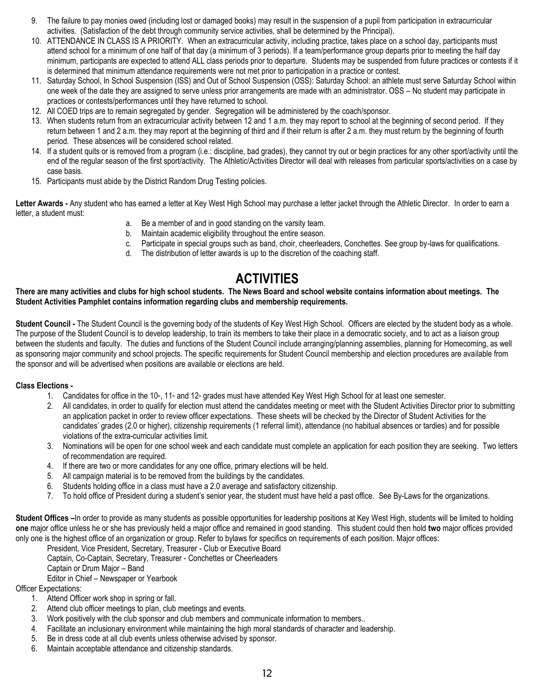- 9. The failure to pay monies owed (including lost or damaged books) may result in the suspension of a pupil from participation in extracurricular activities. (Satisfaction of the debt through community service activities, shall be determined by the Principal).
- 10. ATTENDANCE IN CLASS IS A PRIORITY. When an extracurricular activity, including practice, takes place on a school day, participants must attend school for a minimum of one half of that day (a minimum of 3 periods). If a team/performance group departs prior to meeting the half day minimum, participants are expected to attend ALL class periods prior to departure. Students may be suspended from future practices or contests if it is determined that minimum attendance requirements were not met prior to participation in a practice or contest.
- 11. Saturday School, In School Suspension (ISS) and Out of School Suspension (OSS): Saturday School: an athlete must serve Saturday School within one week of the date they are assigned to serve unless prior arrangements are made with an administrator. OSS – No student may participate in practices or contests/performances until they have returned to school.
- 12. All COED trips are to remain segregated by gender. Segregation will be administered by the coach/sponsor.
- 13. When students return from an extracurricular activity between 12 and 1 a.m. they may report to school at the beginning of second period. If they return between 1 and 2 a.m. they may report at the beginning of third and if their return is after 2 a.m. they must return by the beginning of fourth period. These absences will be considered school related.
- 14. If a student quits or is removed from a program (i.e.: discipline, bad grades), they cannot try out or begin practices for any other sport/activity until the end of the regular season of the first sport/activity. The Athletic/Activities Director will deal with releases from particular sports/activities on a case by case basis.
- 15. Participants must abide by the District Random Drug Testing policies.

Letter Awards - Any student who has earned a letter at Key West High School may purchase a letter jacket through the Athletic Director. In order to earn a letter, a student must:

- a. Be a member of and in good standing on the varsity team.
- b. Maintain academic eligibility throughout the entire season.
- c. Participate in special groups such as band, choir, cheerleaders, Conchettes. See group by-laws for qualifications.
- d. The distribution of letter awards is up to the discretion of the coaching staff.

## **ACTIVITIES**

#### **There are many activities and clubs for high school students. The News Board and school website contains information about meetings. The Student Activities Pamphlet contains information regarding clubs and membership requirements.**

Student Council - The Student Council is the governing body of the students of Key West High School. Officers are elected by the student body as a whole. The purpose of the Student Council is to develop leadership, to train its members to take their place in a democratic society, and to act as a liaison group between the students and faculty. The duties and functions of the Student Council include arranging/planning assemblies, planning for Homecoming, as well as sponsoring major community and school projects. The specific requirements for Student Council membership and election procedures are available from the sponsor and will be advertised when positions are available or elections are held.

#### **Class Elections -**

- 1. Candidates for office in the 10<sup>th</sup>, 11<sup>th</sup> and 12<sup>th</sup> grades must have attended Key West High School for at least one semester.
- 2. All candidates, in order to qualify for election must attend the candidates meeting or meet with the Student Activities Director prior to submitting an application packet in order to review officer expectations. These sheets will be checked by the Director of Student Activities for the candidates' grades (2.0 or higher), citizenship requirements (1 referral limit), attendance (no habitual absences or tardies) and for possible violations of the extra-curricular activities limit.
- 3. Nominations will be open for one school week and each candidate must complete an application for each position they are seeking. Two letters of recommendation are required.
- 4. If there are two or more candidates for any one office, primary elections will be held.
- 5. All campaign material is to be removed from the buildings by the candidates.
- 6. Students holding office in a class must have a 2.0 average and satisfactory citizenship.
- 7. To hold office of President during a student's senior year, the student must have held a past office. See By-Laws for the organizations.

**Student Offices –**In order to provide as many students as possible opportunities for leadership positions at Key West High, students will be limited to holding **one** major office unless he or she has previously held a major office and remained in good standing. This student could then hold **two** major offices provided only one is the highest office of an organization or group. Refer to bylaws for specifics on requirements of each position. Major offices:

President, Vice President, Secretary, Treasurer - Club or Executive Board

Captain, Co-Captain, Secretary, Treasurer - Conchettes or Cheerleaders

Captain or Drum Major – Band

Editor in Chief – Newspaper or Yearbook

Officer Expectations:

- 1. Attend Officer work shop in spring or fall.
- 2. Attend club officer meetings to plan, club meetings and events.
- 3. Work positively with the club sponsor and club members and communicate information to members..
- 4. Facilitate an inclusionary environment while maintaining the high moral standards of character and leadership.
- 5. Be in dress code at all club events unless otherwise advised by sponsor.
- 6. Maintain acceptable attendance and citizenship standards.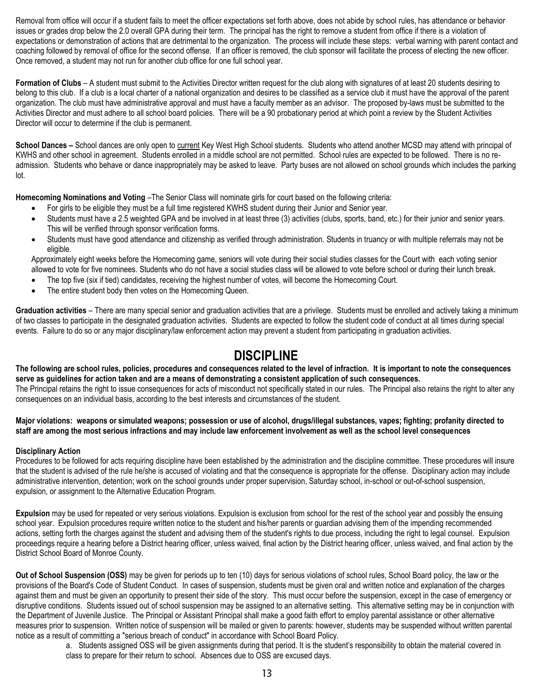Removal from office will occur if a student fails to meet the officer expectations set forth above, does not abide by school rules, has attendance or behavior issues or grades drop below the 2.0 overall GPA during their term. The principal has the right to remove a student from office if there is a violation of expectations or demonstration of actions that are detrimental to the organization. The process will include these steps: verbal warning with parent contact and coaching followed by removal of office for the second offense. If an officer is removed, the club sponsor will facilitate the process of electing the new officer. Once removed, a student may not run for another club office for one full school year.

**Formation of Clubs** – A student must submit to the Activities Director written request for the club along with signatures of at least 20 students desiring to belong to this club. If a club is a local charter of a national organization and desires to be classified as a service club it must have the approval of the parent organization. The club must have administrative approval and must have a faculty member as an advisor. The proposed by-laws must be submitted to the Activities Director and must adhere to all school board policies. There will be a 90 probationary period at which point a review by the Student Activities Director will occur to determine if the club is permanent.

**School Dances –** School dances are only open to current Key West High School students. Students who attend another MCSD may attend with principal of KWHS and other school in agreement. Students enrolled in a middle school are not permitted. School rules are expected to be followed. There is no readmission. Students who behave or dance inappropriately may be asked to leave. Party buses are not allowed on school grounds which includes the parking lot.

**Homecoming Nominations and Voting** –The Senior Class will nominate girls for court based on the following criteria:

- For girls to be eligible they must be a full time registered KWHS student during their Junior and Senior year.
- Students must have a 2.5 weighted GPA and be involved in at least three (3) activities (clubs, sports, band, etc.) for their junior and senior years. This will be verified through sponsor verification forms.
- Students must have good attendance and citizenship as verified through administration. Students in truancy or with multiple referrals may not be eligible.

Approximately eight weeks before the Homecoming game, seniors will vote during their social studies classes for the Court with each voting senior allowed to vote for five nominees. Students who do not have a social studies class will be allowed to vote before school or during their lunch break.

- The top five (six if tied) candidates, receiving the highest number of votes, will become the Homecoming Court.
- The entire student body then votes on the Homecoming Queen.

**Graduation activities** – There are many special senior and graduation activities that are a privilege. Students must be enrolled and actively taking a minimum of two classes to participate in the designated graduation activities. Students are expected to follow the student code of conduct at all times during special events. Failure to do so or any major disciplinary/law enforcement action may prevent a student from participating in graduation activities.

### **DISCIPLINE**

**The following are school rules, policies, procedures and consequences related to the level of infraction. It is important to note the consequences serve as guidelines for action taken and are a means of demonstrating a consistent application of such consequences.** The Principal retains the right to issue consequences for acts of misconduct not specifically stated in our rules. The Principal also retains the right to alter any consequences on an individual basis, according to the best interests and circumstances of the student.

**Major violations: weapons or simulated weapons; possession or use of alcohol, drugs/illegal substances, vapes; fighting; profanity directed to staff are among the most serious infractions and may include law enforcement involvement as well as the school level consequences**

#### **Disciplinary Action**

Procedures to be followed for acts requiring discipline have been established by the administration and the discipline committee. These procedures will insure that the student is advised of the rule he/she is accused of violating and that the consequence is appropriate for the offense. Disciplinary action may include administrative intervention, detention; work on the school grounds under proper supervision, Saturday school, in-school or out-of-school suspension, expulsion, or assignment to the Alternative Education Program.

**Expulsion** may be used for repeated or very serious violations. Expulsion is exclusion from school for the rest of the school year and possibly the ensuing school year. Expulsion procedures require written notice to the student and his/her parents or guardian advising them of the impending recommended actions, setting forth the charges against the student and advising them of the student's rights to due process, including the right to legal counsel. Expulsion proceedings require a hearing before a District hearing officer, unless waived, final action by the District hearing officer, unless waived, and final action by the District School Board of Monroe County.

**Out of School Suspension (OSS)** may be given for periods up to ten (10) days for serious violations of school rules, School Board policy, the law or the provisions of the Board's Code of Student Conduct. In cases of suspension, students must be given oral and written notice and explanation of the charges against them and must be given an opportunity to present their side of the story. This must occur before the suspension, except in the case of emergency or disruptive conditions. Students issued out of school suspension may be assigned to an alternative setting. This alternative setting may be in conjunction with the Department of Juvenile Justice. The Principal or Assistant Principal shall make a good faith effort to employ parental assistance or other alternative measures prior to suspension. Written notice of suspension will be mailed or given to parents: however, students may be suspended without written parental notice as a result of committing a "serious breach of conduct" in accordance with School Board Policy.

> a. Students assigned OSS will be given assignments during that period. It is the student's responsibility to obtain the material covered in class to prepare for their return to school. Absences due to OSS are excused days.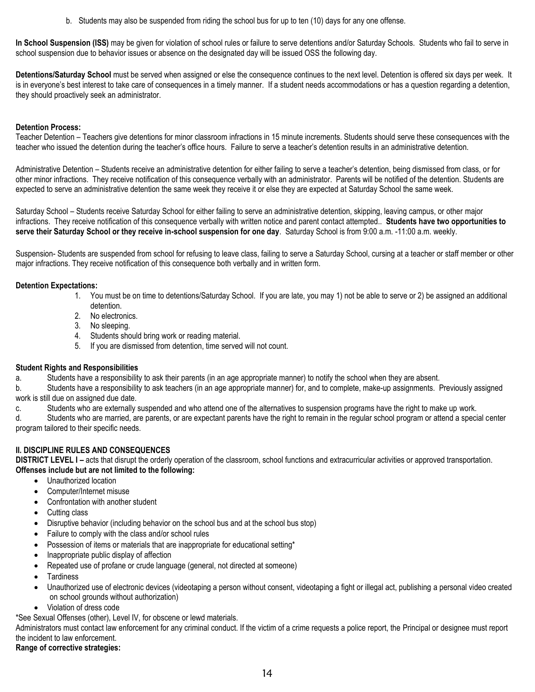b. Students may also be suspended from riding the school bus for up to ten (10) days for any one offense.

**In School Suspension (ISS)** may be given for violation of school rules or failure to serve detentions and/or Saturday Schools. Students who fail to serve in school suspension due to behavior issues or absence on the designated day will be issued OSS the following day.

**Detentions/Saturday School** must be served when assigned or else the consequence continues to the next level. Detention is offered six days per week. It is in everyone's best interest to take care of consequences in a timely manner. If a student needs accommodations or has a question regarding a detention, they should proactively seek an administrator.

#### **Detention Process:**

Teacher Detention – Teachers give detentions for minor classroom infractions in 15 minute increments. Students should serve these consequences with the teacher who issued the detention during the teacher's office hours. Failure to serve a teacher's detention results in an administrative detention.

Administrative Detention – Students receive an administrative detention for either failing to serve a teacher's detention, being dismissed from class, or for other minor infractions. They receive notification of this consequence verbally with an administrator. Parents will be notified of the detention. Students are expected to serve an administrative detention the same week they receive it or else they are expected at Saturday School the same week.

Saturday School – Students receive Saturday School for either failing to serve an administrative detention, skipping, leaving campus, or other major infractions. They receive notification of this consequence verbally with written notice and parent contact attempted.. **Students have two opportunities to serve their Saturday School or they receive in-school suspension for one day**. Saturday School is from 9:00 a.m. -11:00 a.m. weekly.

Suspension- Students are suspended from school for refusing to leave class, failing to serve a Saturday School, cursing at a teacher or staff member or other major infractions. They receive notification of this consequence both verbally and in written form.

#### **Detention Expectations:**

- 1. You must be on time to detentions/Saturday School. If you are late, you may 1) not be able to serve or 2) be assigned an additional detention.
- 2. No electronics.
- 3. No sleeping.
- 4. Students should bring work or reading material.
- 5. If you are dismissed from detention, time served will not count.

#### **Student Rights and Responsibilities**

a. Students have a responsibility to ask their parents (in an age appropriate manner) to notify the school when they are absent.

b. Students have a responsibility to ask teachers (in an age appropriate manner) for, and to complete, make-up assignments. Previously assigned work is still due on assigned due date.

c. Students who are externally suspended and who attend one of the alternatives to suspension programs have the right to make up work.

d. Students who are married, are parents, or are expectant parents have the right to remain in the regular school program or attend a special center program tailored to their specific needs.

#### **II. DISCIPLINE RULES AND CONSEQUENCES**

**DISTRICT LEVEL I** - acts that disrupt the orderly operation of the classroom, school functions and extracurricular activities or approved transportation. **Offenses include but are not limited to the following:**

- Unauthorized location
- Computer/Internet misuse
- Confrontation with another student
- Cutting class
- Disruptive behavior (including behavior on the school bus and at the school bus stop)
- Failure to comply with the class and/or school rules
- Possession of items or materials that are inappropriate for educational setting\*
- Inappropriate public display of affection
- Repeated use of profane or crude language (general, not directed at someone)
- **Tardiness**
- Unauthorized use of electronic devices (videotaping a person without consent, videotaping a fight or illegal act, publishing a personal video created on school grounds without authorization)
- Violation of dress code
- \*See Sexual Offenses (other), Level IV, for obscene or lewd materials.

Administrators must contact law enforcement for any criminal conduct. If the victim of a crime requests a police report, the Principal or designee must report the incident to law enforcement.

#### **Range of corrective strategies:**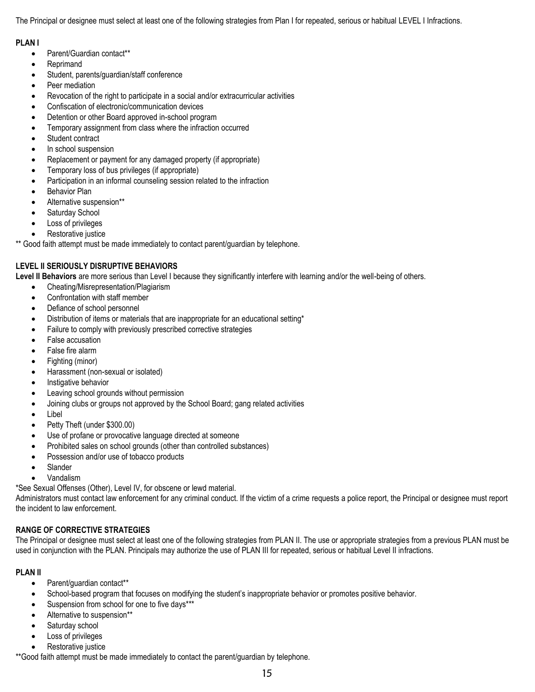The Principal or designee must select at least one of the following strategies from Plan I for repeated, serious or habitual LEVEL I Infractions.

#### **PLAN I**

- Parent/Guardian contact\*\*
- Reprimand
- Student, parents/guardian/staff conference
- Peer mediation
- Revocation of the right to participate in a social and/or extracurricular activities
- Confiscation of electronic/communication devices
- Detention or other Board approved in-school program
- Temporary assignment from class where the infraction occurred
- Student contract
- In school suspension
- Replacement or payment for any damaged property (if appropriate)
- Temporary loss of bus privileges (if appropriate)
- Participation in an informal counseling session related to the infraction
- Behavior Plan
- Alternative suspension\*\*
- Saturday School
- Loss of privileges
- Restorative justice

Good faith attempt must be made immediately to contact parent/guardian by telephone.

#### **LEVEL II SERIOUSLY DISRUPTIVE BEHAVIORS**

**Level II Behaviors** are more serious than Level I because they significantly interfere with learning and/or the well-being of others.

- Cheating/Misrepresentation/Plagiarism
- Confrontation with staff member
- Defiance of school personnel
- Distribution of items or materials that are inappropriate for an educational setting\*
- Failure to comply with previously prescribed corrective strategies
- False accusation
- False fire alarm
- Fighting (minor)
- Harassment (non-sexual or isolated)
- Instigative behavior
- **•** Leaving school grounds without permission
- Joining clubs or groups not approved by the School Board; gang related activities
- Libel
- Petty Theft (under \$300.00)
- Use of profane or provocative language directed at someone
- Prohibited sales on school grounds (other than controlled substances)
- Possession and/or use of tobacco products
- Slander
- Vandalism
- \*See Sexual Offenses (Other), Level IV, for obscene or lewd material.

Administrators must contact law enforcement for any criminal conduct. If the victim of a crime requests a police report, the Principal or designee must report the incident to law enforcement.

#### **RANGE OF CORRECTIVE STRATEGIES**

The Principal or designee must select at least one of the following strategies from PLAN II. The use or appropriate strategies from a previous PLAN must be used in conjunction with the PLAN. Principals may authorize the use of PLAN III for repeated, serious or habitual Level II infractions.

#### **PLAN II**

- Parent/guardian contact\*\*
- School-based program that focuses on modifying the student's inappropriate behavior or promotes positive behavior.
- Suspension from school for one to five days\*\*\*
- Alternative to suspension\*\*
- Saturday school
- Loss of privileges
- Restorative justice

\*\*Good faith attempt must be made immediately to contact the parent/guardian by telephone.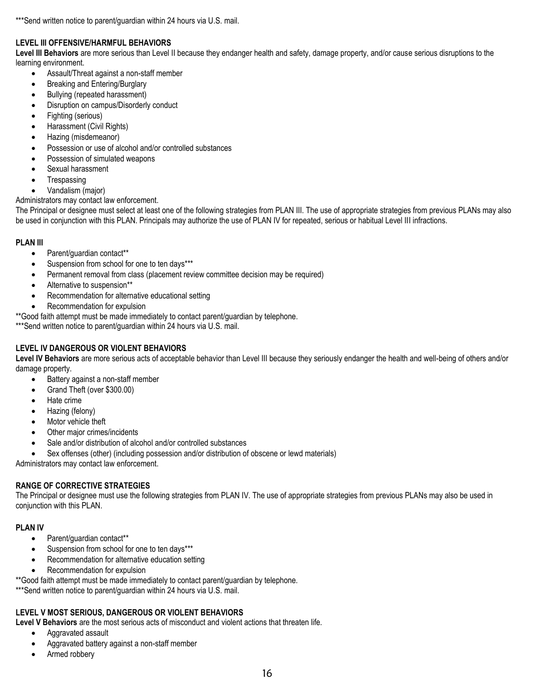\*\*\*Send written notice to parent/quardian within 24 hours via U.S. mail.

#### **LEVEL III OFFENSIVE/HARMFUL BEHAVIORS**

**Level III Behaviors** are more serious than Level II because they endanger health and safety, damage property, and/or cause serious disruptions to the learning environment.

- Assault/Threat against a non-staff member
- Breaking and Entering/Burglary
- Bullying (repeated harassment)
- Disruption on campus/Disorderly conduct
- Fighting (serious)
- Harassment (Civil Rights)
- Hazing (misdemeanor)
- Possession or use of alcohol and/or controlled substances
- Possession of simulated weapons
- Sexual harassment
- Trespassing
- Vandalism (major)

Administrators may contact law enforcement.

The Principal or designee must select at least one of the following strategies from PLAN III. The use of appropriate strategies from previous PLANs may also be used in conjunction with this PLAN. Principals may authorize the use of PLAN IV for repeated, serious or habitual Level III infractions.

#### **PLAN III**

- Parent/guardian contact\*\*
- Suspension from school for one to ten days\*\*\*
- Permanent removal from class (placement review committee decision may be required)
- Alternative to suspension\*\*
- Recommendation for alternative educational setting
- Recommendation for expulsion
- \*\*Good faith attempt must be made immediately to contact parent/guardian by telephone.

\*\*\*Send written notice to parent/guardian within 24 hours via U.S. mail.

#### **LEVEL IV DANGEROUS OR VIOLENT BEHAVIORS**

**Level IV Behaviors** are more serious acts of acceptable behavior than Level III because they seriously endanger the health and well-being of others and/or damage property.

- Battery against a non-staff member
- Grand Theft (over \$300.00)
- Hate crime
- Hazing (felony)
- Motor vehicle theft
- Other major crimes/incidents
- Sale and/or distribution of alcohol and/or controlled substances
- Sex offenses (other) (including possession and/or distribution of obscene or lewd materials)

Administrators may contact law enforcement.

#### **RANGE OF CORRECTIVE STRATEGIES**

The Principal or designee must use the following strategies from PLAN IV. The use of appropriate strategies from previous PLANs may also be used in conjunction with this PLAN.

#### **PLAN IV**

- Parent/guardian contact\*\*
- Suspension from school for one to ten days\*\*\*
- Recommendation for alternative education setting
- Recommendation for expulsion

\*\*Good faith attempt must be made immediately to contact parent/guardian by telephone.

\*\*\*Send written notice to parent/guardian within 24 hours via U.S. mail.

#### **LEVEL V MOST SERIOUS, DANGEROUS OR VIOLENT BEHAVIORS**

**Level V Behaviors** are the most serious acts of misconduct and violent actions that threaten life.

- Aggravated assault
- Aggravated battery against a non-staff member
- Armed robbery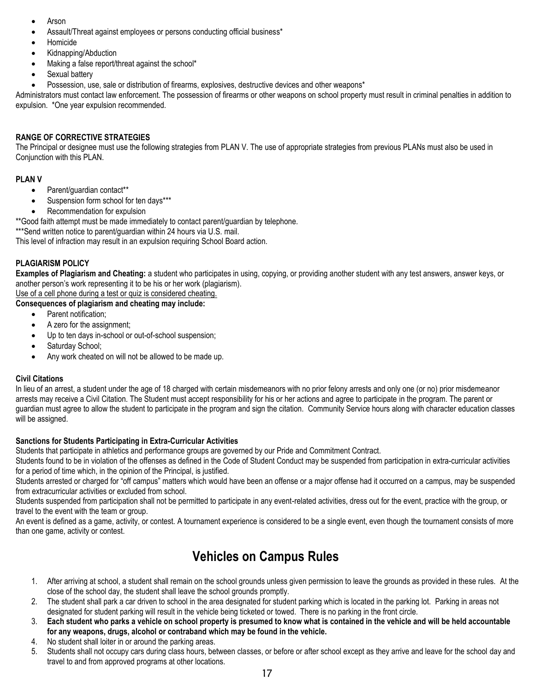- Arson
- Assault/Threat against employees or persons conducting official business\*
- Homicide
- Kidnapping/Abduction
- Making a false report/threat against the school\*
- Sexual battery
- Possession, use, sale or distribution of firearms, explosives, destructive devices and other weapons\*

Administrators must contact law enforcement. The possession of firearms or other weapons on school property must result in criminal penalties in addition to expulsion. \*One year expulsion recommended.

#### **RANGE OF CORRECTIVE STRATEGIES**

The Principal or designee must use the following strategies from PLAN V. The use of appropriate strategies from previous PLANs must also be used in Conjunction with this PLAN.

#### **PLAN V**

- Parent/guardian contact\*\*
- Suspension form school for ten days\*\*\*
- Recommendation for expulsion

\*\*Good faith attempt must be made immediately to contact parent/guardian by telephone.

\*\*\*Send written notice to parent/guardian within 24 hours via U.S. mail.

This level of infraction may result in an expulsion requiring School Board action.

#### **PLAGIARISM POLICY**

**Examples of Plagiarism and Cheating:** a student who participates in using, copying, or providing another student with any test answers, answer keys, or another person's work representing it to be his or her work (plagiarism).

Use of a cell phone during a test or quiz is considered cheating.

**Consequences of plagiarism and cheating may include:**

- Parent notification:
- A zero for the assignment;
- Up to ten days in-school or out-of-school suspension;
- Saturday School;
- Any work cheated on will not be allowed to be made up.

#### **Civil Citations**

In lieu of an arrest, a student under the age of 18 charged with certain misdemeanors with no prior felony arrests and only one (or no) prior misdemeanor arrests may receive a Civil Citation. The Student must accept responsibility for his or her actions and agree to participate in the program. The parent or guardian must agree to allow the student to participate in the program and sign the citation. Community Service hours along with character education classes will be assigned.

#### **Sanctions for Students Participating in Extra-Curricular Activities**

Students that participate in athletics and performance groups are governed by our Pride and Commitment Contract.

Students found to be in violation of the offenses as defined in the Code of Student Conduct may be suspended from participation in extra-curricular activities for a period of time which, in the opinion of the Principal, is justified.

Students arrested or charged for "off campus" matters which would have been an offense or a major offense had it occurred on a campus, may be suspended from extracurricular activities or excluded from school.

Students suspended from participation shall not be permitted to participate in any event-related activities, dress out for the event, practice with the group, or travel to the event with the team or group.

An event is defined as a game, activity, or contest. A tournament experience is considered to be a single event, even though the tournament consists of more than one game, activity or contest.

### **Vehicles on Campus Rules**

- 1. After arriving at school, a student shall remain on the school grounds unless given permission to leave the grounds as provided in these rules. At the close of the school day, the student shall leave the school grounds promptly.
- 2. The student shall park a car driven to school in the area designated for student parking which is located in the parking lot. Parking in areas not designated for student parking will result in the vehicle being ticketed or towed. There is no parking in the front circle.
- 3. **Each student who parks a vehicle on school property is presumed to know what is contained in the vehicle and will be held accountable for any weapons, drugs, alcohol or contraband which may be found in the vehicle.**
- 4. No student shall loiter in or around the parking areas.
- 5. Students shall not occupy cars during class hours, between classes, or before or after school except as they arrive and leave for the school day and travel to and from approved programs at other locations.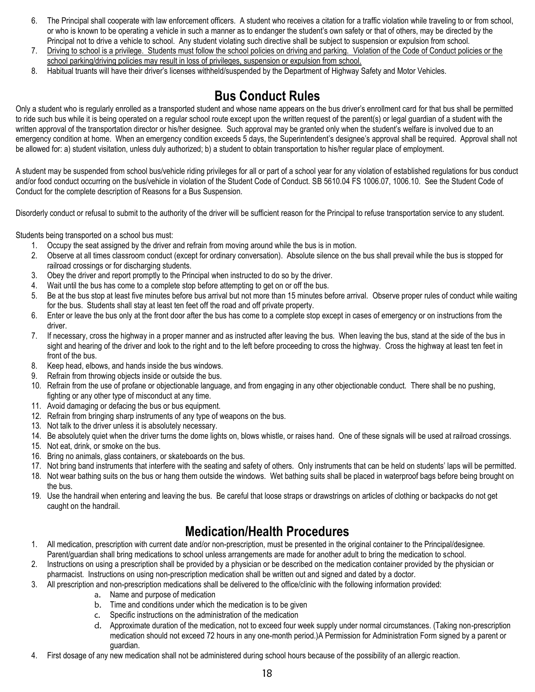- 6. The Principal shall cooperate with law enforcement officers. A student who receives a citation for a traffic violation while traveling to or from school, or who is known to be operating a vehicle in such a manner as to endanger the student's own safety or that of others, may be directed by the Principal not to drive a vehicle to school. Any student violating such directive shall be subject to suspension or expulsion from school.
- 7. Driving to school is a privilege. Students must follow the school policies on driving and parking. Violation of the Code of Conduct policies or the school parking/driving policies may result in loss of privileges, suspension or expulsion from school.
- 8. Habitual truants will have their driver's licenses withheld/suspended by the Department of Highway Safety and Motor Vehicles.

### **Bus Conduct Rules**

Only a student who is regularly enrolled as a transported student and whose name appears on the bus driver's enrollment card for that bus shall be permitted to ride such bus while it is being operated on a regular school route except upon the written request of the parent(s) or legal guardian of a student with the written approval of the transportation director or his/her designee. Such approval may be granted only when the student's welfare is involved due to an emergency condition at home. When an emergency condition exceeds 5 days, the Superintendent's designee's approval shall be required. Approval shall not be allowed for: a) student visitation, unless duly authorized; b) a student to obtain transportation to his/her regular place of employment.

A student may be suspended from school bus/vehicle riding privileges for all or part of a school year for any violation of established regulations for bus conduct and/or food conduct occurring on the bus/vehicle in violation of the Student Code of Conduct. SB 5610.04 FS 1006.07, 1006.10. See the Student Code of Conduct for the complete description of Reasons for a Bus Suspension.

Disorderly conduct or refusal to submit to the authority of the driver will be sufficient reason for the Principal to refuse transportation service to any student.

Students being transported on a school bus must:

- 1. Occupy the seat assigned by the driver and refrain from moving around while the bus is in motion.
- 2. Observe at all times classroom conduct (except for ordinary conversation). Absolute silence on the bus shall prevail while the bus is stopped for railroad crossings or for discharging students.
- 3. Obey the driver and report promptly to the Principal when instructed to do so by the driver.
- 4. Wait until the bus has come to a complete stop before attempting to get on or off the bus.
- 5. Be at the bus stop at least five minutes before bus arrival but not more than 15 minutes before arrival. Observe proper rules of conduct while waiting for the bus. Students shall stay at least ten feet off the road and off private property.
- 6. Enter or leave the bus only at the front door after the bus has come to a complete stop except in cases of emergency or on instructions from the driver.
- 7. If necessary, cross the highway in a proper manner and as instructed after leaving the bus. When leaving the bus, stand at the side of the bus in sight and hearing of the driver and look to the right and to the left before proceeding to cross the highway. Cross the highway at least ten feet in front of the bus.
- 8. Keep head, elbows, and hands inside the bus windows.
- 9. Refrain from throwing objects inside or outside the bus.
- 10. Refrain from the use of profane or objectionable language, and from engaging in any other objectionable conduct. There shall be no pushing, fighting or any other type of misconduct at any time.
- 11. Avoid damaging or defacing the bus or bus equipment.
- 12. Refrain from bringing sharp instruments of any type of weapons on the bus.
- 13. Not talk to the driver unless it is absolutely necessary.
- 14. Be absolutely quiet when the driver turns the dome lights on, blows whistle, or raises hand. One of these signals will be used at railroad crossings.
- 15. Not eat, drink, or smoke on the bus.
- 16. Bring no animals, glass containers, or skateboards on the bus.
- 17. Not bring band instruments that interfere with the seating and safety of others. Only instruments that can be held on students' laps will be permitted.
- 18. Not wear bathing suits on the bus or hang them outside the windows. Wet bathing suits shall be placed in waterproof bags before being brought on the bus.
- 19. Use the handrail when entering and leaving the bus. Be careful that loose straps or drawstrings on articles of clothing or backpacks do not get caught on the handrail.

### **Medication/Health Procedures**

- 1. All medication, prescription with current date and/or non-prescription, must be presented in the original container to the Principal/designee. Parent/guardian shall bring medications to school unless arrangements are made for another adult to bring the medication to school.
- 2. Instructions on using a prescription shall be provided by a physician or be described on the medication container provided by the physician or pharmacist. Instructions on using non-prescription medication shall be written out and signed and dated by a doctor.
- 3. All prescription and non-prescription medications shall be delivered to the office/clinic with the following information provided:
	- a. Name and purpose of medication
	- b. Time and conditions under which the medication is to be given
	- c. Specific instructions on the administration of the medication
	- d. Approximate duration of the medication, not to exceed four week supply under normal circumstances. (Taking non-prescription medication should not exceed 72 hours in any one-month period.)A Permission for Administration Form signed by a parent or guardian.
- 4. First dosage of any new medication shall not be administered during school hours because of the possibility of an allergic reaction.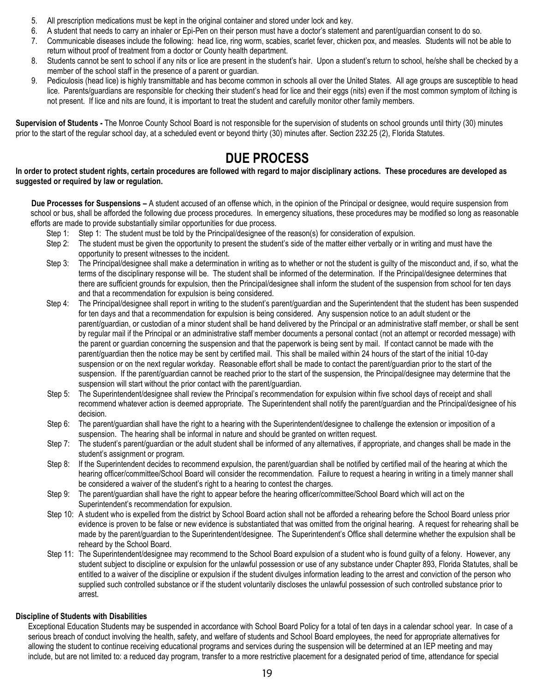- 5. All prescription medications must be kept in the original container and stored under lock and key.
- 6. A student that needs to carry an inhaler or Epi-Pen on their person must have a doctor's statement and parent/guardian consent to do so.
- 7. Communicable diseases include the following: head lice, ring worm, scabies, scarlet fever, chicken pox, and measles. Students will not be able to return without proof of treatment from a doctor or County health department.
- 8. Students cannot be sent to school if any nits or lice are present in the student's hair. Upon a student's return to school, he/she shall be checked by a member of the school staff in the presence of a parent or guardian.
- 9. Pediculosis (head lice) is highly transmittable and has become common in schools all over the United States. All age groups are susceptible to head lice. Parents/guardians are responsible for checking their student's head for lice and their eggs (nits) even if the most common symptom of itching is not present. If lice and nits are found, it is important to treat the student and carefully monitor other family members.

**Supervision of Students -** The Monroe County School Board is not responsible for the supervision of students on school grounds until thirty (30) minutes prior to the start of the regular school day, at a scheduled event or beyond thirty (30) minutes after. Section 232.25 (2), Florida Statutes.

### **DUE PROCESS**

#### **In order to protect student rights, certain procedures are followed with regard to major disciplinary actions. These procedures are developed as suggested or required by law or regulation.**

**Due Processes for Suspensions –** A student accused of an offense which, in the opinion of the Principal or designee, would require suspension from school or bus, shall be afforded the following due process procedures. In emergency situations, these procedures may be modified so long as reasonable efforts are made to provide substantially similar opportunities for due process.

- Step 1: Step 1: The student must be told by the Principal/designee of the reason(s) for consideration of expulsion.
- Step 2: The student must be given the opportunity to present the student's side of the matter either verbally or in writing and must have the opportunity to present witnesses to the incident.
- Step 3: The Principal/designee shall make a determination in writing as to whether or not the student is guilty of the misconduct and, if so, what the terms of the disciplinary response will be. The student shall be informed of the determination. If the Principal/designee determines that there are sufficient grounds for expulsion, then the Principal/designee shall inform the student of the suspension from school for ten days and that a recommendation for expulsion is being considered.
- Step 4: The Principal/designee shall report in writing to the student's parent/guardian and the Superintendent that the student has been suspended for ten days and that a recommendation for expulsion is being considered. Any suspension notice to an adult student or the parent/guardian, or custodian of a minor student shall be hand delivered by the Principal or an administrative staff member, or shall be sent by regular mail if the Principal or an administrative staff member documents a personal contact (not an attempt or recorded message) with the parent or guardian concerning the suspension and that the paperwork is being sent by mail. If contact cannot be made with the parent/guardian then the notice may be sent by certified mail. This shall be mailed within 24 hours of the start of the initial 10-day suspension or on the next regular workday. Reasonable effort shall be made to contact the parent/guardian prior to the start of the suspension. If the parent/guardian cannot be reached prior to the start of the suspension, the Principal/designee may determine that the suspension will start without the prior contact with the parent/guardian.
- Step 5: The Superintendent/designee shall review the Principal's recommendation for expulsion within five school days of receipt and shall recommend whatever action is deemed appropriate. The Superintendent shall notify the parent/guardian and the Principal/designee of his decision.
- Step 6: The parent/quardian shall have the right to a hearing with the Superintendent/designee to challenge the extension or imposition of a suspension. The hearing shall be informal in nature and should be granted on written request.
- Step 7: The student's parent/guardian or the adult student shall be informed of any alternatives, if appropriate, and changes shall be made in the student's assignment or program.
- Step 8: If the Superintendent decides to recommend expulsion, the parent/guardian shall be notified by certified mail of the hearing at which the hearing officer/committee/School Board will consider the recommendation. Failure to request a hearing in writing in a timely manner shall be considered a waiver of the student's right to a hearing to contest the charges.
- Step 9: The parent/guardian shall have the right to appear before the hearing officer/committee/School Board which will act on the Superintendent's recommendation for expulsion.
- Step 10: A student who is expelled from the district by School Board action shall not be afforded a rehearing before the School Board unless prior evidence is proven to be false or new evidence is substantiated that was omitted from the original hearing. A request for rehearing shall be made by the parent/guardian to the Superintendent/designee. The Superintendent's Office shall determine whether the expulsion shall be reheard by the School Board.
- Step 11: The Superintendent/designee may recommend to the School Board expulsion of a student who is found guilty of a felony. However, any student subject to discipline or expulsion for the unlawful possession or use of any substance under Chapter 893, Florida Statutes, shall be entitled to a waiver of the discipline or expulsion if the student divulges information leading to the arrest and conviction of the person who supplied such controlled substance or if the student voluntarily discloses the unlawful possession of such controlled substance prior to arrest.

#### **Discipline of Students with Disabilities**

Exceptional Education Students may be suspended in accordance with School Board Policy for a total of ten days in a calendar school year. In case of a serious breach of conduct involving the health, safety, and welfare of students and School Board employees, the need for appropriate alternatives for allowing the student to continue receiving educational programs and services during the suspension will be determined at an IEP meeting and may include, but are not limited to: a reduced day program, transfer to a more restrictive placement for a designated period of time, attendance for special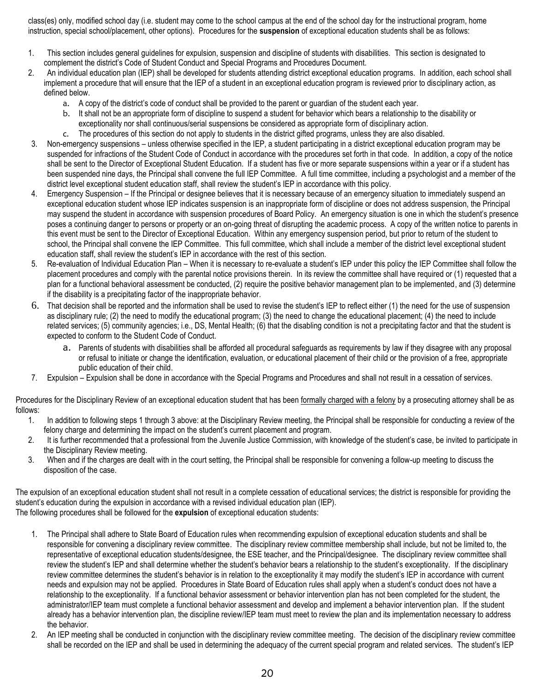class(es) only, modified school day (i.e. student may come to the school campus at the end of the school day for the instructional program, home instruction, special school/placement, other options). Procedures for the **suspension** of exceptional education students shall be as follows:

- 1. This section includes general guidelines for expulsion, suspension and discipline of students with disabilities. This section is designated to complement the district's Code of Student Conduct and Special Programs and Procedures Document.
- 2. An individual education plan (IEP) shall be developed for students attending district exceptional education programs. In addition, each school shall implement a procedure that will ensure that the IEP of a student in an exceptional education program is reviewed prior to disciplinary action, as defined below.
	- a. A copy of the district's code of conduct shall be provided to the parent or guardian of the student each year.
	- b. It shall not be an appropriate form of discipline to suspend a student for behavior which bears a relationship to the disability or exceptionality nor shall continuous/serial suspensions be considered as appropriate form of disciplinary action.
	- c. The procedures of this section do not apply to students in the district gifted programs, unless they are also disabled.
- 3. Non-emergency suspensions unless otherwise specified in the IEP, a student participating in a district exceptional education program may be suspended for infractions of the Student Code of Conduct in accordance with the procedures set forth in that code. In addition, a copy of the notice shall be sent to the Director of Exceptional Student Education. If a student has five or more separate suspensions within a year or if a student has been suspended nine days, the Principal shall convene the full IEP Committee. A full time committee, including a psychologist and a member of the district level exceptional student education staff, shall review the student's IEP in accordance with this policy.
- 4. Emergency Suspension If the Principal or designee believes that it is necessary because of an emergency situation to immediately suspend an exceptional education student whose IEP indicates suspension is an inappropriate form of discipline or does not address suspension, the Principal may suspend the student in accordance with suspension procedures of Board Policy. An emergency situation is one in which the student's presence poses a continuing danger to persons or property or an on-going threat of disrupting the academic process. A copy of the written notice to parents in this event must be sent to the Director of Exceptional Education. Within any emergency suspension period, but prior to return of the student to school, the Principal shall convene the IEP Committee. This full committee, which shall include a member of the district level exceptional student education staff, shall review the student's IEP in accordance with the rest of this section.
- 5. Re-evaluation of Individual Education Plan When it is necessary to re-evaluate a student's IEP under this policy the IEP Committee shall follow the placement procedures and comply with the parental notice provisions therein. In its review the committee shall have required or (1) requested that a plan for a functional behavioral assessment be conducted, (2) require the positive behavior management plan to be implemented, and (3) determine if the disability is a precipitating factor of the inappropriate behavior.
- 6. That decision shall be reported and the information shall be used to revise the student's IEP to reflect either (1) the need for the use of suspension as disciplinary rule; (2) the need to modify the educational program; (3) the need to change the educational placement; (4) the need to include related services; (5) community agencies; i.e., DS, Mental Health; (6) that the disabling condition is not a precipitating factor and that the student is expected to conform to the Student Code of Conduct.
	- a. Parents of students with disabilities shall be afforded all procedural safeguards as requirements by law if they disagree with any proposal or refusal to initiate or change the identification, evaluation, or educational placement of their child or the provision of a free, appropriate public education of their child.
- 7. Expulsion Expulsion shall be done in accordance with the Special Programs and Procedures and shall not result in a cessation of services.

Procedures for the Disciplinary Review of an exceptional education student that has been formally charged with a felony by a prosecuting attorney shall be as follows:

- 1. In addition to following steps 1 through 3 above: at the Disciplinary Review meeting, the Principal shall be responsible for conducting a review of the felony charge and determining the impact on the student's current placement and program.
- 2. It is further recommended that a professional from the Juvenile Justice Commission, with knowledge of the student's case, be invited to participate in the Disciplinary Review meeting.
- 3. When and if the charges are dealt with in the court setting, the Principal shall be responsible for convening a follow-up meeting to discuss the disposition of the case.

The expulsion of an exceptional education student shall not result in a complete cessation of educational services; the district is responsible for providing the student's education during the expulsion in accordance with a revised individual education plan (IEP). The following procedures shall be followed for the **expulsion** of exceptional education students:

- 1. The Principal shall adhere to State Board of Education rules when recommending expulsion of exceptional education students and shall be responsible for convening a disciplinary review committee. The disciplinary review committee membership shall include, but not be limited to, the representative of exceptional education students/designee, the ESE teacher, and the Principal/designee. The disciplinary review committee shall review the student's IEP and shall determine whether the student's behavior bears a relationship to the student's exceptionality. If the disciplinary review committee determines the student's behavior is in relation to the exceptionality it may modify the student's IEP in accordance with current needs and expulsion may not be applied. Procedures in State Board of Education rules shall apply when a student's conduct does not have a relationship to the exceptionality. If a functional behavior assessment or behavior intervention plan has not been completed for the student, the administrator/IEP team must complete a functional behavior assessment and develop and implement a behavior intervention plan. If the student already has a behavior intervention plan, the discipline review/IEP team must meet to review the plan and its implementation necessary to address the behavior.
- 2. An IEP meeting shall be conducted in conjunction with the disciplinary review committee meeting. The decision of the disciplinary review committee shall be recorded on the IEP and shall be used in determining the adequacy of the current special program and related services. The student's IEP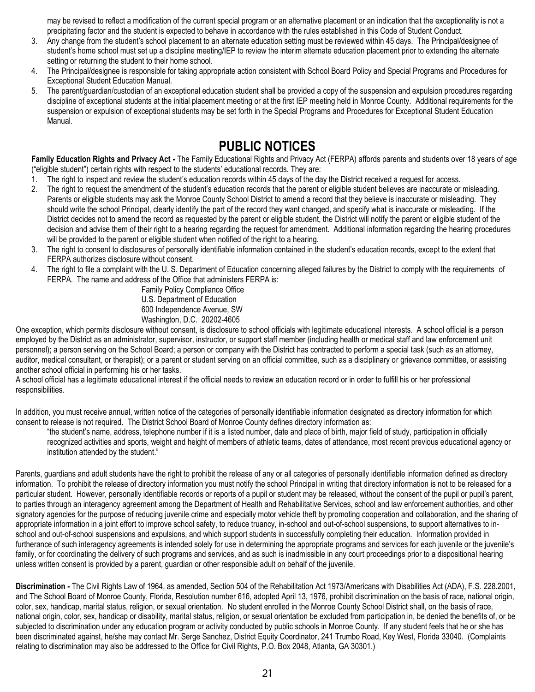may be revised to reflect a modification of the current special program or an alternative placement or an indication that the exceptionality is not a precipitating factor and the student is expected to behave in accordance with the rules established in this Code of Student Conduct.

- 3. Any change from the student's school placement to an alternate education setting must be reviewed within 45 days. The Principal/designee of student's home school must set up a discipline meeting/IEP to review the interim alternate education placement prior to extending the alternate setting or returning the student to their home school.
- 4. The Principal/designee is responsible for taking appropriate action consistent with School Board Policy and Special Programs and Procedures for Exceptional Student Education Manual.
- 5. The parent/guardian/custodian of an exceptional education student shall be provided a copy of the suspension and expulsion procedures regarding discipline of exceptional students at the initial placement meeting or at the first IEP meeting held in Monroe County. Additional requirements for the suspension or expulsion of exceptional students may be set forth in the Special Programs and Procedures for Exceptional Student Education Manual.

### **PUBLIC NOTICES**

**Family Education Rights and Privacy Act -** The Family Educational Rights and Privacy Act (FERPA) affords parents and students over 18 years of age ("eligible student") certain rights with respect to the students' educational records. They are:

- 1. The right to inspect and review the student's education records within 45 days of the day the District received a request for access.
- 2. The right to request the amendment of the student's education records that the parent or eligible student believes are inaccurate or misleading. Parents or eligible students may ask the Monroe County School District to amend a record that they believe is inaccurate or misleading. They should write the school Principal, clearly identify the part of the record they want changed, and specify what is inaccurate or misleading. If the District decides not to amend the record as requested by the parent or eligible student, the District will notify the parent or eligible student of the decision and advise them of their right to a hearing regarding the request for amendment. Additional information regarding the hearing procedures will be provided to the parent or eligible student when notified of the right to a hearing.
- 3. The right to consent to disclosures of personally identifiable information contained in the student's education records, except to the extent that FERPA authorizes disclosure without consent.
- 4. The right to file a complaint with the U. S. Department of Education concerning alleged failures by the District to comply with the requirements of FERPA. The name and address of the Office that administers FERPA is:

Family Policy Compliance Office U.S. Department of Education 600 Independence Avenue, SW Washington, D.C. 20202-4605

One exception, which permits disclosure without consent, is disclosure to school officials with legitimate educational interests. A school official is a person employed by the District as an administrator, supervisor, instructor, or support staff member (including health or medical staff and law enforcement unit personnel); a person serving on the School Board; a person or company with the District has contracted to perform a special task (such as an attorney, auditor, medical consultant, or therapist); or a parent or student serving on an official committee, such as a disciplinary or grievance committee, or assisting another school official in performing his or her tasks.

A school official has a legitimate educational interest if the official needs to review an education record or in order to fulfill his or her professional responsibilities.

In addition, you must receive annual, written notice of the categories of personally identifiable information designated as directory information for which consent to release is not required. The District School Board of Monroe County defines directory information as:

"the student's name, address, telephone number if it is a listed number, date and place of birth, major field of study, participation in officially recognized activities and sports, weight and height of members of athletic teams, dates of attendance, most recent previous educational agency or institution attended by the student."

Parents, guardians and adult students have the right to prohibit the release of any or all categories of personally identifiable information defined as directory information. To prohibit the release of directory information you must notify the school Principal in writing that directory information is not to be released for a particular student. However, personally identifiable records or reports of a pupil or student may be released, without the consent of the pupil or pupil's parent, to parties through an interagency agreement among the Department of Health and Rehabilitative Services, school and law enforcement authorities, and other signatory agencies for the purpose of reducing juvenile crime and especially motor vehicle theft by promoting cooperation and collaboration, and the sharing of appropriate information in a joint effort to improve school safety, to reduce truancy, in-school and out-of-school suspensions, to support alternatives to inschool and out-of-school suspensions and expulsions, and which support students in successfully completing their education. Information provided in furtherance of such interagency agreements is intended solely for use in determining the appropriate programs and services for each juvenile or the juvenile's family, or for coordinating the delivery of such programs and services, and as such is inadmissible in any court proceedings prior to a dispositional hearing unless written consent is provided by a parent, guardian or other responsible adult on behalf of the juvenile.

**Discrimination -** The Civil Rights Law of 1964, as amended, Section 504 of the Rehabilitation Act 1973/Americans with Disabilities Act (ADA), F.S. 228.2001, and The School Board of Monroe County, Florida, Resolution number 616, adopted April 13, 1976, prohibit discrimination on the basis of race, national origin, color, sex, handicap, marital status, religion, or sexual orientation. No student enrolled in the Monroe County School District shall, on the basis of race, national origin, color, sex, handicap or disability, marital status, religion, or sexual orientation be excluded from participation in, be denied the benefits of, or be subjected to discrimination under any education program or activity conducted by public schools in Monroe County. If any student feels that he or she has been discriminated against, he/she may contact Mr. Serge Sanchez, District Equity Coordinator, 241 Trumbo Road, Key West, Florida 33040. (Complaints relating to discrimination may also be addressed to the Office for Civil Rights, P.O. Box 2048, Atlanta, GA 30301.)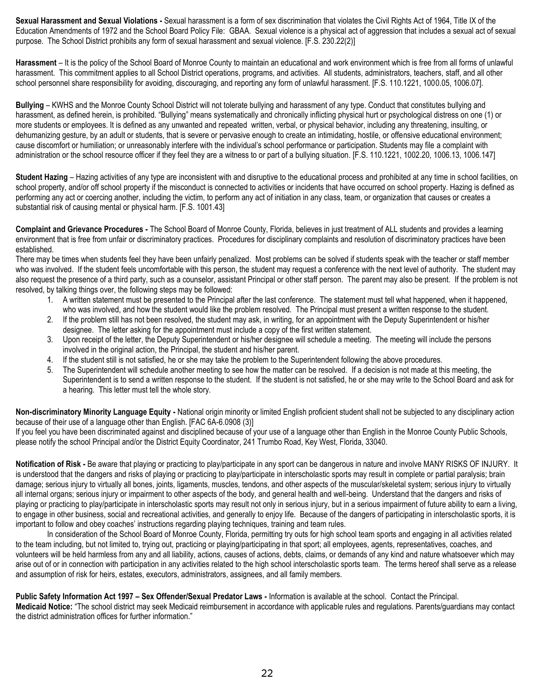**Sexual Harassment and Sexual Violations -** Sexual harassment is a form of sex discrimination that violates the Civil Rights Act of 1964, Title IX of the Education Amendments of 1972 and the School Board Policy File: GBAA. Sexual violence is a physical act of aggression that includes a sexual act of sexual purpose. The School District prohibits any form of sexual harassment and sexual violence. [F.S. 230.22(2)]

**Harassment** – It is the policy of the School Board of Monroe County to maintain an educational and work environment which is free from all forms of unlawful harassment. This commitment applies to all School District operations, programs, and activities. All students, administrators, teachers, staff, and all other school personnel share responsibility for avoiding, discouraging, and reporting any form of unlawful harassment. [F.S. 110.1221, 1000.05, 1006.07].

**Bullying** – KWHS and the Monroe County School District will not tolerate bullying and harassment of any type. Conduct that constitutes bullying and harassment, as defined herein, is prohibited. "Bullying" means systematically and chronically inflicting physical hurt or psychological distress on one (1) or more students or employees. It is defined as any unwanted and repeated written, verbal, or physical behavior, including any threatening, insulting, or dehumanizing gesture, by an adult or students, that is severe or pervasive enough to create an intimidating, hostile, or offensive educational environment; cause discomfort or humiliation; or unreasonably interfere with the individual's school performance or participation. Students may file a complaint with administration or the school resource officer if they feel they are a witness to or part of a bullying situation. [F.S. 110.1221, 1002.20, 1006.13, 1006.147]

**Student Hazing** – Hazing activities of any type are inconsistent with and disruptive to the educational process and prohibited at any time in school facilities, on school property, and/or off school property if the misconduct is connected to activities or incidents that have occurred on school property. Hazing is defined as performing any act or coercing another, including the victim, to perform any act of initiation in any class, team, or organization that causes or creates a substantial risk of causing mental or physical harm. [F.S. 1001.43]

**Complaint and Grievance Procedures -** The School Board of Monroe County, Florida, believes in just treatment of ALL students and provides a learning environment that is free from unfair or discriminatory practices. Procedures for disciplinary complaints and resolution of discriminatory practices have been established.

There may be times when students feel they have been unfairly penalized. Most problems can be solved if students speak with the teacher or staff member who was involved. If the student feels uncomfortable with this person, the student may request a conference with the next level of authority. The student may also request the presence of a third party, such as a counselor, assistant Principal or other staff person. The parent may also be present. If the problem is not resolved, by talking things over, the following steps may be followed:

- 1. A written statement must be presented to the Principal after the last conference. The statement must tell what happened, when it happened, who was involved, and how the student would like the problem resolved. The Principal must present a written response to the student.
- 2. If the problem still has not been resolved, the student may ask, in writing, for an appointment with the Deputy Superintendent or his/her designee. The letter asking for the appointment must include a copy of the first written statement.
- 3. Upon receipt of the letter, the Deputy Superintendent or his/her designee will schedule a meeting. The meeting will include the persons involved in the original action, the Principal, the student and his/her parent.
- 4. If the student still is not satisfied, he or she may take the problem to the Superintendent following the above procedures.
- 5. The Superintendent will schedule another meeting to see how the matter can be resolved. If a decision is not made at this meeting, the Superintendent is to send a written response to the student. If the student is not satisfied, he or she may write to the School Board and ask for a hearing. This letter must tell the whole story.

**Non-discriminatory Minority Language Equity -** National origin minority or limited English proficient student shall not be subjected to any disciplinary action because of their use of a language other than English. [FAC 6A-6.0908 (3)]

If you feel you have been discriminated against and disciplined because of your use of a language other than English in the Monroe County Public Schools, please notify the school Principal and/or the District Equity Coordinator, 241 Trumbo Road, Key West, Florida, 33040.

**Notification of Risk -** Be aware that playing or practicing to play/participate in any sport can be dangerous in nature and involve MANY RISKS OF INJURY. It is understood that the dangers and risks of playing or practicing to play/participate in interscholastic sports may result in complete or partial paralysis; brain damage; serious injury to virtually all bones, joints, ligaments, muscles, tendons, and other aspects of the muscular/skeletal system; serious injury to virtually all internal organs; serious injury or impairment to other aspects of the body, and general health and well-being. Understand that the dangers and risks of playing or practicing to play/participate in interscholastic sports may result not only in serious injury, but in a serious impairment of future ability to earn a living, to engage in other business, social and recreational activities, and generally to enjoy life. Because of the dangers of participating in interscholastic sports, it is important to follow and obey coaches' instructions regarding playing techniques, training and team rules.

In consideration of the School Board of Monroe County, Florida, permitting try outs for high school team sports and engaging in all activities related to the team including, but not limited to, trying out, practicing or playing/participating in that sport; all employees, agents, representatives, coaches, and volunteers will be held harmless from any and all liability, actions, causes of actions, debts, claims, or demands of any kind and nature whatsoever which may arise out of or in connection with participation in any activities related to the high school interscholastic sports team. The terms hereof shall serve as a release and assumption of risk for heirs, estates, executors, administrators, assignees, and all family members.

**Public Safety Information Act 1997 – Sex Offender/Sexual Predator Laws -** Information is available at the school. Contact the Principal. **Medicaid Notice:** "The school district may seek Medicaid reimbursement in accordance with applicable rules and regulations. Parents/guardians may contact the district administration offices for further information."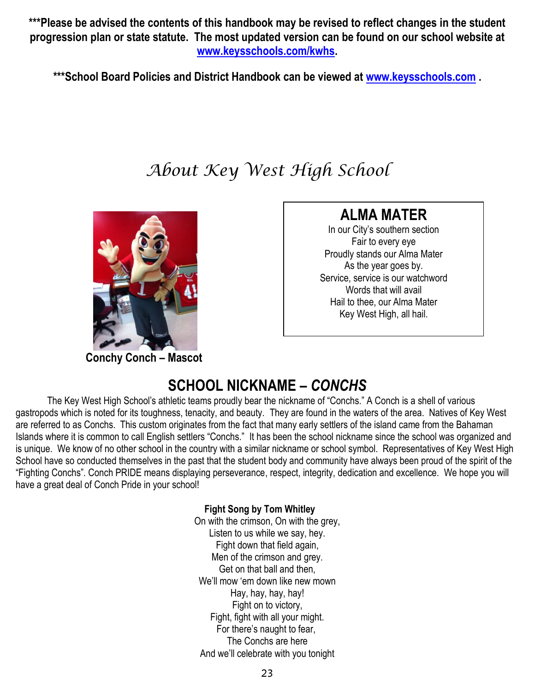**\*\*\*Please be advised the contents of this handbook may be revised to reflect changes in the student progression plan or state statute. The most updated version can be found on our school website at [www.keysschools.com/kwhs.](http://www.keysschools.com/kwhs)**

**\*\*\*School Board Policies and District Handbook can be viewed at [www.keysschools.com](http://www.keysschools.com/) .**

# *About Key West High School*



**Conchy Conch – Mascot**

# **ALMA MATER**

In our City's southern section Fair to every eye Proudly stands our Alma Mater As the year goes by. Service, service is our watchword Words that will avail Hail to thee, our Alma Mater Key West High, all hail.

# **SCHOOL NICKNAME –** *CONCHS*

The Key West High School's athletic teams proudly bear the nickname of "Conchs." A Conch is a shell of various gastropods which is noted for its toughness, tenacity, and beauty. They are found in the waters of the area. Natives of Key West are referred to as Conchs. This custom originates from the fact that many early settlers of the island came from the Bahaman Islands where it is common to call English settlers "Conchs." It has been the school nickname since the school was organized and is unique. We know of no other school in the country with a similar nickname or school symbol. Representatives of Key West High School have so conducted themselves in the past that the student body and community have always been proud of the spirit of the "Fighting Conchs". Conch PRIDE means displaying perseverance, respect, integrity, dedication and excellence. We hope you will have a great deal of Conch Pride in your school!

#### **Fight Song by Tom Whitley**

On with the crimson, On with the grey, Listen to us while we say, hey. Fight down that field again, Men of the crimson and grey. Get on that ball and then, We'll mow 'em down like new mown Hay, hay, hay, hay! Fight on to victory, Fight, fight with all your might. For there's naught to fear, The Conchs are here And we'll celebrate with you tonight